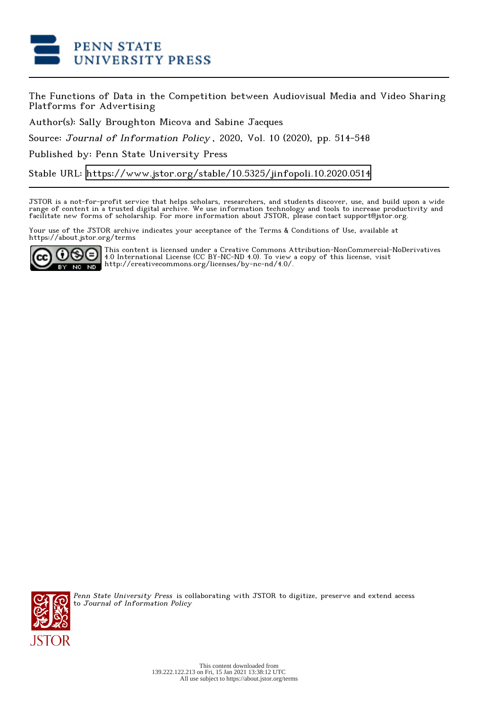

The Functions of Data in the Competition between Audiovisual Media and Video Sharing Platforms for Advertising

Author(s): Sally Broughton Micova and Sabine Jacques

Source: Journal of Information Policy , 2020, Vol. 10 (2020), pp. 514-548

Published by: Penn State University Press

Stable URL:<https://www.jstor.org/stable/10.5325/jinfopoli.10.2020.0514>

JSTOR is a not-for-profit service that helps scholars, researchers, and students discover, use, and build upon a wide range of content in a trusted digital archive. We use information technology and tools to increase productivity and facilitate new forms of scholarship. For more information about JSTOR, please contact support@jstor.org.

Your use of the JSTOR archive indicates your acceptance of the Terms & Conditions of Use, available at https://about.jstor.org/terms



This content is licensed under a Creative Commons Attribution-NonCommercial-NoDerivatives 4.0 International License (CC BY-NC-ND 4.0). To view a copy of this license, visit http://creativecommons.org/licenses/by-nc-nd/4.0/.



Penn State University Press is collaborating with JSTOR to digitize, preserve and extend access to Journal of Information Policy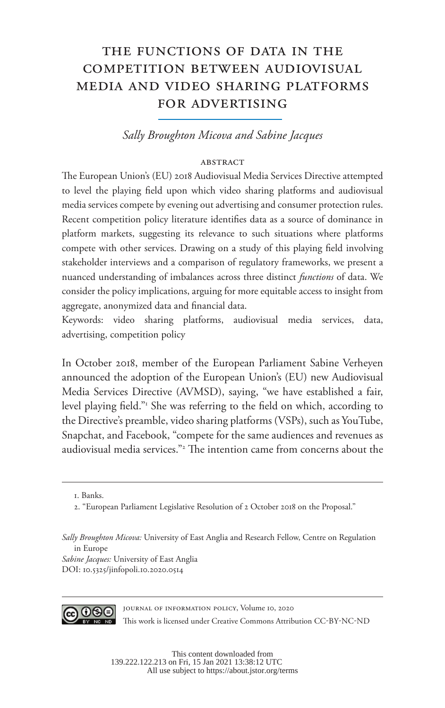# the functions of data in the competition between audiovisual media and video sharing platforms for advertising

*Sally Broughton Micova and Sabine Jacques*

#### ABSTRACT

The European Union's (EU) 2018 Audiovisual Media Services Directive attempted to level the playing field upon which video sharing platforms and audiovisual media services compete by evening out advertising and consumer protection rules. Recent competition policy literature identifies data as a source of dominance in platform markets, suggesting its relevance to such situations where platforms compete with other services. Drawing on a study of this playing field involving stakeholder interviews and a comparison of regulatory frameworks, we present a nuanced understanding of imbalances across three distinct *functions* of data. We consider the policy implications, arguing for more equitable access to insight from aggregate, anonymized data and financial data.

Keywords: video sharing platforms, audiovisual media services, data, advertising, competition policy

In October 2018, member of the European Parliament Sabine Verheyen announced the adoption of the European Union's (EU) new Audiovisual Media Services Directive (AVMSD), saying, "we have established a fair, level playing field." She was referring to the field on which, according to the Directive's preamble, video sharing platforms (VSPs), such as YouTube, Snapchat, and Facebook, "compete for the same audiences and revenues as audiovisual media services."2 The intention came from concerns about the

*Sabine Jacques:* University of East Anglia DOI: 10.5325/jinfopoli.10.2020.0514



Journal of Information Policy, Volume 10, 2020 This work is licensed under Creative Commons Attribution CC-BY-NC-ND

<sup>1.</sup> Banks.

<sup>2. &</sup>quot;European Parliament Legislative Resolution of 2 October 2018 on the Proposal."

*Sally Broughton Micova:* University of East Anglia and Research Fellow, Centre on Regulation in Europe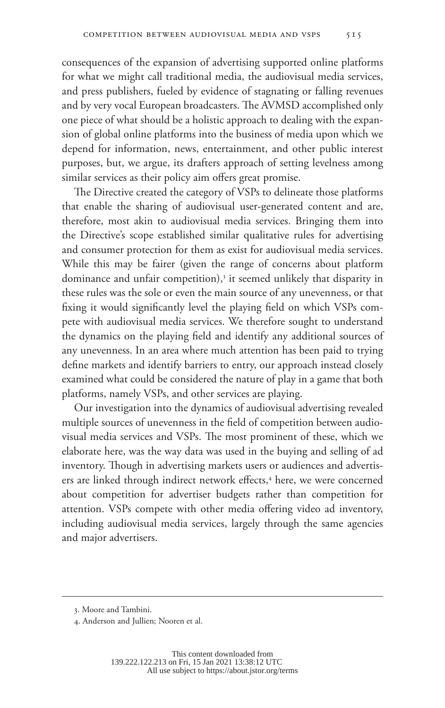consequences of the expansion of advertising supported online platforms for what we might call traditional media, the audiovisual media services, and press publishers, fueled by evidence of stagnating or falling revenues and by very vocal European broadcasters. The AVMSD accomplished only one piece of what should be a holistic approach to dealing with the expansion of global online platforms into the business of media upon which we depend for information, news, entertainment, and other public interest purposes, but, we argue, its drafters approach of setting levelness among similar services as their policy aim offers great promise.

The Directive created the category of VSPs to delineate those platforms that enable the sharing of audiovisual user-generated content and are, therefore, most akin to audiovisual media services. Bringing them into the Directive's scope established similar qualitative rules for advertising and consumer protection for them as exist for audiovisual media services. While this may be fairer (given the range of concerns about platform dominance and unfair competition),<sup>3</sup> it seemed unlikely that disparity in these rules was the sole or even the main source of any unevenness, or that fixing it would significantly level the playing field on which VSPs compete with audiovisual media services. We therefore sought to understand the dynamics on the playing field and identify any additional sources of any unevenness. In an area where much attention has been paid to trying define markets and identify barriers to entry, our approach instead closely examined what could be considered the nature of play in a game that both platforms, namely VSPs, and other services are playing.

Our investigation into the dynamics of audiovisual advertising revealed multiple sources of unevenness in the field of competition between audiovisual media services and VSPs. The most prominent of these, which we elaborate here, was the way data was used in the buying and selling of ad inventory. Though in advertising markets users or audiences and advertisers are linked through indirect network effects,<sup>4</sup> here, we were concerned about competition for advertiser budgets rather than competition for attention. VSPs compete with other media offering video ad inventory, including audiovisual media services, largely through the same agencies and major advertisers.

<sup>3.</sup> Moore and Tambini.

<sup>4.</sup> Anderson and Jullien; Nooren et al.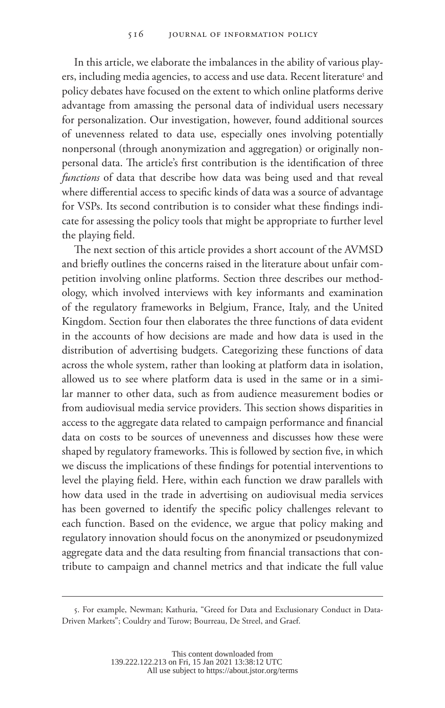In this article, we elaborate the imbalances in the ability of various players, including media agencies, to access and use data. Recent literature<sup>5</sup> and policy debates have focused on the extent to which online platforms derive advantage from amassing the personal data of individual users necessary for personalization. Our investigation, however, found additional sources of unevenness related to data use, especially ones involving potentially nonpersonal (through anonymization and aggregation) or originally nonpersonal data. The article's first contribution is the identification of three *functions* of data that describe how data was being used and that reveal where differential access to specific kinds of data was a source of advantage for VSPs. Its second contribution is to consider what these findings indicate for assessing the policy tools that might be appropriate to further level the playing field.

The next section of this article provides a short account of the AVMSD and briefly outlines the concerns raised in the literature about unfair competition involving online platforms. Section three describes our methodology, which involved interviews with key informants and examination of the regulatory frameworks in Belgium, France, Italy, and the United Kingdom. Section four then elaborates the three functions of data evident in the accounts of how decisions are made and how data is used in the distribution of advertising budgets. Categorizing these functions of data across the whole system, rather than looking at platform data in isolation, allowed us to see where platform data is used in the same or in a similar manner to other data, such as from audience measurement bodies or from audiovisual media service providers. This section shows disparities in access to the aggregate data related to campaign performance and financial data on costs to be sources of unevenness and discusses how these were shaped by regulatory frameworks. This is followed by section five, in which we discuss the implications of these findings for potential interventions to level the playing field. Here, within each function we draw parallels with how data used in the trade in advertising on audiovisual media services has been governed to identify the specific policy challenges relevant to each function. Based on the evidence, we argue that policy making and regulatory innovation should focus on the anonymized or pseudonymized aggregate data and the data resulting from financial transactions that contribute to campaign and channel metrics and that indicate the full value

<sup>5.</sup> For example, Newman; Kathuria, "Greed for Data and Exclusionary Conduct in Data-Driven Markets"; Couldry and Turow; Bourreau, De Streel, and Graef.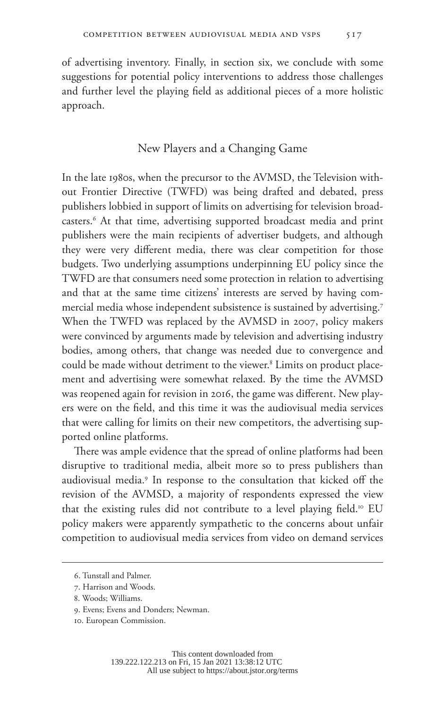of advertising inventory. Finally, in section six, we conclude with some suggestions for potential policy interventions to address those challenges and further level the playing field as additional pieces of a more holistic approach.

# New Players and a Changing Game

In the late 1980s, when the precursor to the AVMSD, the Television without Frontier Directive (TWFD) was being drafted and debated, press publishers lobbied in support of limits on advertising for television broadcasters.6 At that time, advertising supported broadcast media and print publishers were the main recipients of advertiser budgets, and although they were very different media, there was clear competition for those budgets. Two underlying assumptions underpinning EU policy since the TWFD are that consumers need some protection in relation to advertising and that at the same time citizens' interests are served by having commercial media whose independent subsistence is sustained by advertising.7 When the TWFD was replaced by the AVMSD in 2007, policy makers were convinced by arguments made by television and advertising industry bodies, among others, that change was needed due to convergence and could be made without detriment to the viewer.<sup>8</sup> Limits on product placement and advertising were somewhat relaxed. By the time the AVMSD was reopened again for revision in 2016, the game was different. New players were on the field, and this time it was the audiovisual media services that were calling for limits on their new competitors, the advertising supported online platforms.

There was ample evidence that the spread of online platforms had been disruptive to traditional media, albeit more so to press publishers than audiovisual media.9 In response to the consultation that kicked off the revision of the AVMSD, a majority of respondents expressed the view that the existing rules did not contribute to a level playing field.<sup>10</sup> EU policy makers were apparently sympathetic to the concerns about unfair competition to audiovisual media services from video on demand services

<sup>6.</sup> Tunstall and Palmer.

<sup>7.</sup> Harrison and Woods.

<sup>8.</sup> Woods; Williams.

<sup>9.</sup> Evens; Evens and Donders; Newman.

<sup>10.</sup> European Commission.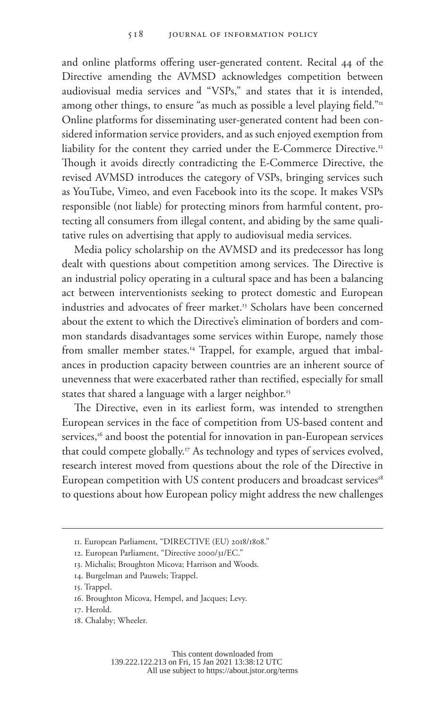and online platforms offering user-generated content. Recital 44 of the Directive amending the AVMSD acknowledges competition between audiovisual media services and "VSPs," and states that it is intended, among other things, to ensure "as much as possible a level playing field."<sup>11</sup> Online platforms for disseminating user-generated content had been considered information service providers, and as such enjoyed exemption from liability for the content they carried under the E-Commerce Directive.12 Though it avoids directly contradicting the E-Commerce Directive, the revised AVMSD introduces the category of VSPs, bringing services such as YouTube, Vimeo, and even Facebook into its the scope. It makes VSPs responsible (not liable) for protecting minors from harmful content, protecting all consumers from illegal content, and abiding by the same qualitative rules on advertising that apply to audiovisual media services.

Media policy scholarship on the AVMSD and its predecessor has long dealt with questions about competition among services. The Directive is an industrial policy operating in a cultural space and has been a balancing act between interventionists seeking to protect domestic and European industries and advocates of freer market.<sup>13</sup> Scholars have been concerned about the extent to which the Directive's elimination of borders and common standards disadvantages some services within Europe, namely those from smaller member states.<sup>14</sup> Trappel, for example, argued that imbalances in production capacity between countries are an inherent source of unevenness that were exacerbated rather than rectified, especially for small states that shared a language with a larger neighbor.<sup>15</sup>

The Directive, even in its earliest form, was intended to strengthen European services in the face of competition from US-based content and services,<sup>16</sup> and boost the potential for innovation in pan-European services that could compete globally.17 As technology and types of services evolved, research interest moved from questions about the role of the Directive in European competition with US content producers and broadcast services<sup>18</sup> to questions about how European policy might address the new challenges

<sup>11.</sup> European Parliament, "DIRECTIVE (EU) 2018/1808."

<sup>12.</sup> European Parliament, "Directive 2000/31/EC."

<sup>13.</sup> Michalis; Broughton Micova; Harrison and Woods.

<sup>14.</sup> Burgelman and Pauwels; Trappel.

<sup>15.</sup> Trappel.

<sup>16.</sup> Broughton Micova, Hempel, and Jacques; Levy.

<sup>17.</sup> Herold.

<sup>18.</sup> Chalaby; Wheeler.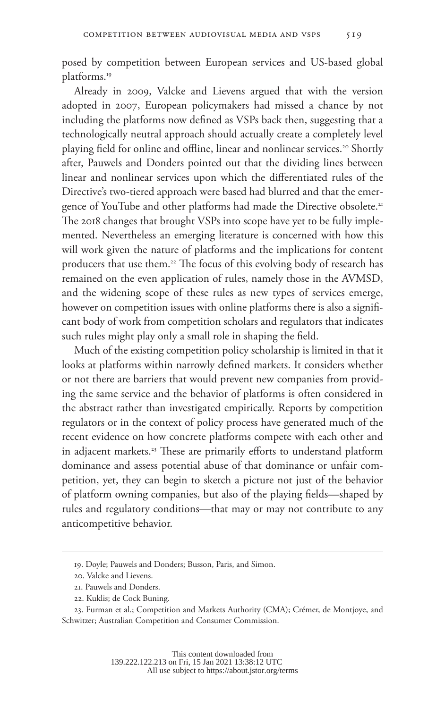posed by competition between European services and US-based global platforms.19

Already in 2009, Valcke and Lievens argued that with the version adopted in 2007, European policymakers had missed a chance by not including the platforms now defined as VSPs back then, suggesting that a technologically neutral approach should actually create a completely level playing field for online and offline, linear and nonlinear services.<sup>20</sup> Shortly after, Pauwels and Donders pointed out that the dividing lines between linear and nonlinear services upon which the differentiated rules of the Directive's two-tiered approach were based had blurred and that the emergence of YouTube and other platforms had made the Directive obsolete.<sup>21</sup> The 2018 changes that brought VSPs into scope have yet to be fully implemented. Nevertheless an emerging literature is concerned with how this will work given the nature of platforms and the implications for content producers that use them.<sup>22</sup> The focus of this evolving body of research has remained on the even application of rules, namely those in the AVMSD, and the widening scope of these rules as new types of services emerge, however on competition issues with online platforms there is also a significant body of work from competition scholars and regulators that indicates such rules might play only a small role in shaping the field.

Much of the existing competition policy scholarship is limited in that it looks at platforms within narrowly defined markets. It considers whether or not there are barriers that would prevent new companies from providing the same service and the behavior of platforms is often considered in the abstract rather than investigated empirically. Reports by competition regulators or in the context of policy process have generated much of the recent evidence on how concrete platforms compete with each other and in adjacent markets.<sup>23</sup> These are primarily efforts to understand platform dominance and assess potential abuse of that dominance or unfair competition, yet, they can begin to sketch a picture not just of the behavior of platform owning companies, but also of the playing fields—shaped by rules and regulatory conditions—that may or may not contribute to any anticompetitive behavior.

<sup>19.</sup> Doyle; Pauwels and Donders; Busson, Paris, and Simon.

<sup>20.</sup> Valcke and Lievens.

<sup>21.</sup> Pauwels and Donders.

<sup>22.</sup> Kuklis; de Cock Buning.

<sup>23.</sup> Furman et al.; Competition and Markets Authority (CMA); Crémer, de Montjoye, and Schwitzer; Australian Competition and Consumer Commission.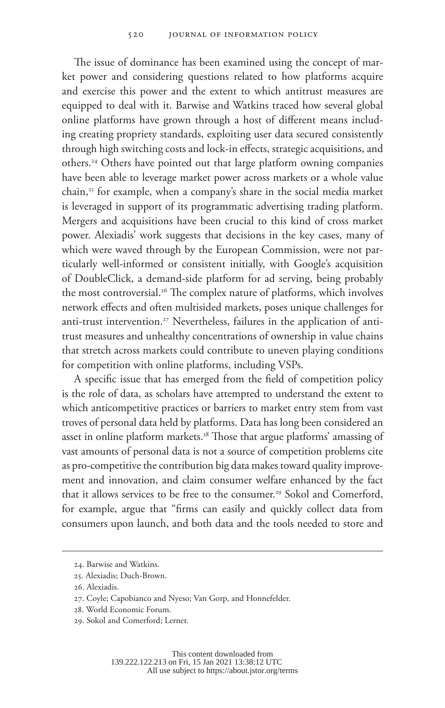The issue of dominance has been examined using the concept of market power and considering questions related to how platforms acquire and exercise this power and the extent to which antitrust measures are equipped to deal with it. Barwise and Watkins traced how several global online platforms have grown through a host of different means including creating propriety standards, exploiting user data secured consistently through high switching costs and lock-in effects, strategic acquisitions, and others.24 Others have pointed out that large platform owning companies have been able to leverage market power across markets or a whole value chain,25 for example, when a company's share in the social media market is leveraged in support of its programmatic advertising trading platform. Mergers and acquisitions have been crucial to this kind of cross market power. Alexiadis' work suggests that decisions in the key cases, many of which were waved through by the European Commission, were not particularly well-informed or consistent initially, with Google's acquisition of DoubleClick, a demand-side platform for ad serving, being probably the most controversial.<sup>26</sup> The complex nature of platforms, which involves network effects and often multisided markets, poses unique challenges for anti-trust intervention.<sup>27</sup> Nevertheless, failures in the application of antitrust measures and unhealthy concentrations of ownership in value chains that stretch across markets could contribute to uneven playing conditions for competition with online platforms, including VSPs.

A specific issue that has emerged from the field of competition policy is the role of data, as scholars have attempted to understand the extent to which anticompetitive practices or barriers to market entry stem from vast troves of personal data held by platforms. Data has long been considered an asset in online platform markets.<sup>28</sup> Those that argue platforms' amassing of vast amounts of personal data is not a source of competition problems cite as pro-competitive the contribution big data makes toward quality improvement and innovation, and claim consumer welfare enhanced by the fact that it allows services to be free to the consumer.<sup>29</sup> Sokol and Comerford, for example, argue that "firms can easily and quickly collect data from consumers upon launch, and both data and the tools needed to store and

<sup>24.</sup> Barwise and Watkins.

<sup>25.</sup> Alexiadis; Duch-Brown.

<sup>26.</sup> Alexiadis.

<sup>27.</sup> Coyle; Capobianco and Nyeso; Van Gorp, and Honnefelder.

<sup>28.</sup> World Economic Forum.

<sup>29.</sup> Sokol and Comerford; Lerner.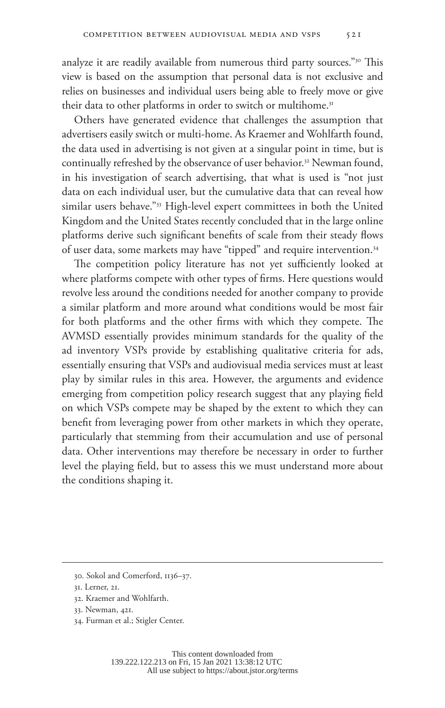analyze it are readily available from numerous third party sources."<sup>30</sup> This view is based on the assumption that personal data is not exclusive and relies on businesses and individual users being able to freely move or give their data to other platforms in order to switch or multihome.<sup>31</sup>

Others have generated evidence that challenges the assumption that advertisers easily switch or multi-home. As Kraemer and Wohlfarth found, the data used in advertising is not given at a singular point in time, but is continually refreshed by the observance of user behavior.<sup>32</sup> Newman found, in his investigation of search advertising, that what is used is "not just data on each individual user, but the cumulative data that can reveal how similar users behave."33 High-level expert committees in both the United Kingdom and the United States recently concluded that in the large online platforms derive such significant benefits of scale from their steady flows of user data, some markets may have "tipped" and require intervention.34

The competition policy literature has not yet sufficiently looked at where platforms compete with other types of firms. Here questions would revolve less around the conditions needed for another company to provide a similar platform and more around what conditions would be most fair for both platforms and the other firms with which they compete. The AVMSD essentially provides minimum standards for the quality of the ad inventory VSPs provide by establishing qualitative criteria for ads, essentially ensuring that VSPs and audiovisual media services must at least play by similar rules in this area. However, the arguments and evidence emerging from competition policy research suggest that any playing field on which VSPs compete may be shaped by the extent to which they can benefit from leveraging power from other markets in which they operate, particularly that stemming from their accumulation and use of personal data. Other interventions may therefore be necessary in order to further level the playing field, but to assess this we must understand more about the conditions shaping it.

34. Furman et al.; Stigler Center.

<sup>30.</sup> Sokol and Comerford, 1136–37.

<sup>31.</sup> Lerner, 21.

<sup>32.</sup> Kraemer and Wohlfarth.

<sup>33.</sup> Newman, 421.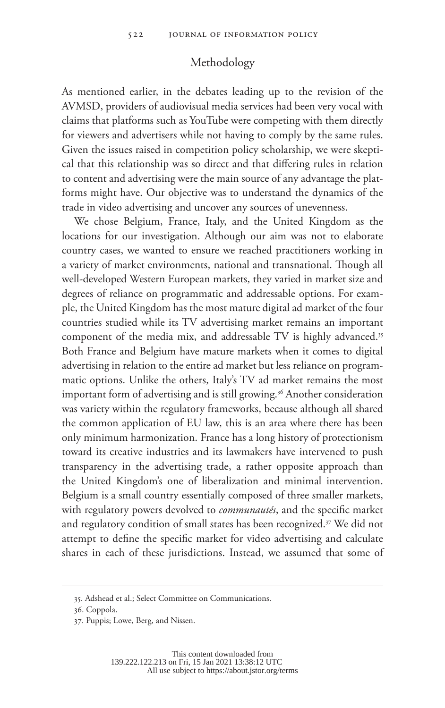# Methodology

As mentioned earlier, in the debates leading up to the revision of the AVMSD, providers of audiovisual media services had been very vocal with claims that platforms such as YouTube were competing with them directly for viewers and advertisers while not having to comply by the same rules. Given the issues raised in competition policy scholarship, we were skeptical that this relationship was so direct and that differing rules in relation to content and advertising were the main source of any advantage the platforms might have. Our objective was to understand the dynamics of the trade in video advertising and uncover any sources of unevenness.

We chose Belgium, France, Italy, and the United Kingdom as the locations for our investigation. Although our aim was not to elaborate country cases, we wanted to ensure we reached practitioners working in a variety of market environments, national and transnational. Though all well-developed Western European markets, they varied in market size and degrees of reliance on programmatic and addressable options. For example, the United Kingdom has the most mature digital ad market of the four countries studied while its TV advertising market remains an important component of the media mix, and addressable TV is highly advanced.<sup>35</sup> Both France and Belgium have mature markets when it comes to digital advertising in relation to the entire ad market but less reliance on programmatic options. Unlike the others, Italy's TV ad market remains the most important form of advertising and is still growing.<sup>36</sup> Another consideration was variety within the regulatory frameworks, because although all shared the common application of EU law, this is an area where there has been only minimum harmonization. France has a long history of protectionism toward its creative industries and its lawmakers have intervened to push transparency in the advertising trade, a rather opposite approach than the United Kingdom's one of liberalization and minimal intervention. Belgium is a small country essentially composed of three smaller markets, with regulatory powers devolved to *communautés*, and the specific market and regulatory condition of small states has been recognized.<sup>37</sup> We did not attempt to define the specific market for video advertising and calculate shares in each of these jurisdictions. Instead, we assumed that some of

<sup>35.</sup> Adshead et al.; Select Committee on Communications.

<sup>36.</sup> Coppola.

<sup>37.</sup> Puppis; Lowe, Berg, and Nissen.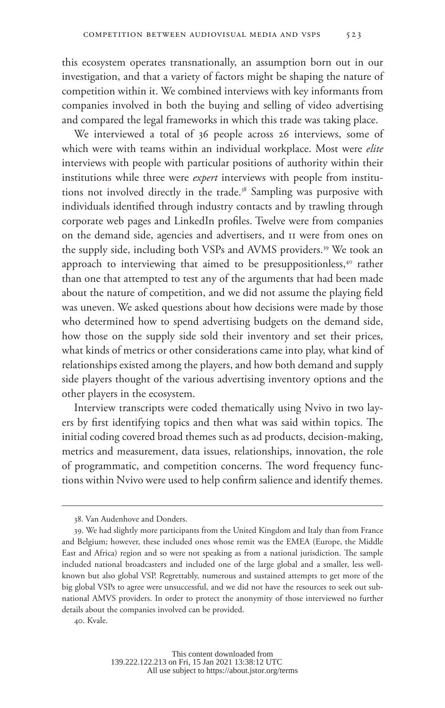this ecosystem operates transnationally, an assumption born out in our investigation, and that a variety of factors might be shaping the nature of competition within it. We combined interviews with key informants from companies involved in both the buying and selling of video advertising and compared the legal frameworks in which this trade was taking place.

We interviewed a total of 36 people across 26 interviews, some of which were with teams within an individual workplace. Most were *elite* interviews with people with particular positions of authority within their institutions while three were *expert* interviews with people from institutions not involved directly in the trade.<sup>38</sup> Sampling was purposive with individuals identified through industry contacts and by trawling through corporate web pages and LinkedIn profiles. Twelve were from companies on the demand side, agencies and advertisers, and 11 were from ones on the supply side, including both VSPs and AVMS providers.<sup>39</sup> We took an approach to interviewing that aimed to be presuppositionless,<sup>40</sup> rather than one that attempted to test any of the arguments that had been made about the nature of competition, and we did not assume the playing field was uneven. We asked questions about how decisions were made by those who determined how to spend advertising budgets on the demand side, how those on the supply side sold their inventory and set their prices, what kinds of metrics or other considerations came into play, what kind of relationships existed among the players, and how both demand and supply side players thought of the various advertising inventory options and the other players in the ecosystem.

Interview transcripts were coded thematically using Nvivo in two layers by first identifying topics and then what was said within topics. The initial coding covered broad themes such as ad products, decision-making, metrics and measurement, data issues, relationships, innovation, the role of programmatic, and competition concerns. The word frequency functions within Nvivo were used to help confirm salience and identify themes.

<sup>38.</sup> Van Audenhove and Donders.

<sup>39.</sup> We had slightly more participants from the United Kingdom and Italy than from France and Belgium; however, these included ones whose remit was the EMEA (Europe, the Middle East and Africa) region and so were not speaking as from a national jurisdiction. The sample included national broadcasters and included one of the large global and a smaller, less wellknown but also global VSP. Regrettably, numerous and sustained attempts to get more of the big global VSPs to agree were unsuccessful, and we did not have the resources to seek out subnational AMVS providers. In order to protect the anonymity of those interviewed no further details about the companies involved can be provided.

<sup>40.</sup> Kvale.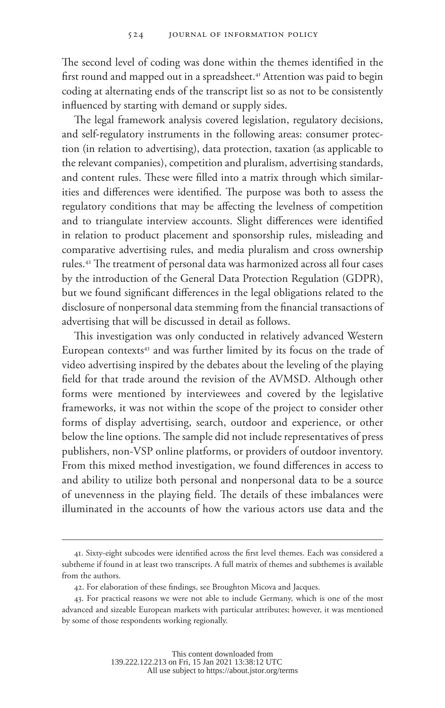The second level of coding was done within the themes identified in the first round and mapped out in a spreadsheet.<sup>41</sup> Attention was paid to begin coding at alternating ends of the transcript list so as not to be consistently influenced by starting with demand or supply sides.

The legal framework analysis covered legislation, regulatory decisions, and self-regulatory instruments in the following areas: consumer protection (in relation to advertising), data protection, taxation (as applicable to the relevant companies), competition and pluralism, advertising standards, and content rules. These were filled into a matrix through which similarities and differences were identified. The purpose was both to assess the regulatory conditions that may be affecting the levelness of competition and to triangulate interview accounts. Slight differences were identified in relation to product placement and sponsorship rules, misleading and comparative advertising rules, and media pluralism and cross ownership rules.42 The treatment of personal data was harmonized across all four cases by the introduction of the General Data Protection Regulation (GDPR), but we found significant differences in the legal obligations related to the disclosure of nonpersonal data stemming from the financial transactions of advertising that will be discussed in detail as follows.

This investigation was only conducted in relatively advanced Western European contexts<sup>43</sup> and was further limited by its focus on the trade of video advertising inspired by the debates about the leveling of the playing field for that trade around the revision of the AVMSD. Although other forms were mentioned by interviewees and covered by the legislative frameworks, it was not within the scope of the project to consider other forms of display advertising, search, outdoor and experience, or other below the line options. The sample did not include representatives of press publishers, non-VSP online platforms, or providers of outdoor inventory. From this mixed method investigation, we found differences in access to and ability to utilize both personal and nonpersonal data to be a source of unevenness in the playing field. The details of these imbalances were illuminated in the accounts of how the various actors use data and the

<sup>41.</sup> Sixty-eight subcodes were identified across the first level themes. Each was considered a subtheme if found in at least two transcripts. A full matrix of themes and subthemes is available from the authors.

<sup>42.</sup> For elaboration of these findings, see Broughton Micova and Jacques.

<sup>43.</sup> For practical reasons we were not able to include Germany, which is one of the most advanced and sizeable European markets with particular attributes; however, it was mentioned by some of those respondents working regionally.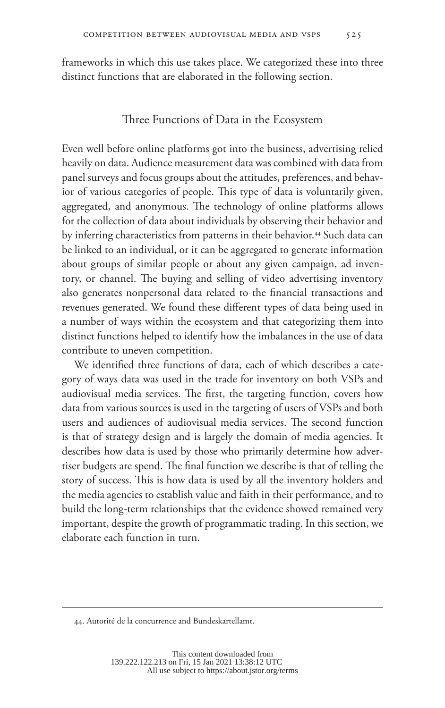frameworks in which this use takes place. We categorized these into three distinct functions that are elaborated in the following section.

## Three Functions of Data in the Ecosystem

Even well before online platforms got into the business, advertising relied heavily on data. Audience measurement data was combined with data from panel surveys and focus groups about the attitudes, preferences, and behavior of various categories of people. This type of data is voluntarily given, aggregated, and anonymous. The technology of online platforms allows for the collection of data about individuals by observing their behavior and by inferring characteristics from patterns in their behavior.<sup>44</sup> Such data can be linked to an individual, or it can be aggregated to generate information about groups of similar people or about any given campaign, ad inventory, or channel. The buying and selling of video advertising inventory also generates nonpersonal data related to the financial transactions and revenues generated. We found these different types of data being used in a number of ways within the ecosystem and that categorizing them into distinct functions helped to identify how the imbalances in the use of data contribute to uneven competition.

We identified three functions of data, each of which describes a category of ways data was used in the trade for inventory on both VSPs and audiovisual media services. The first, the targeting function, covers how data from various sources is used in the targeting of users of VSPs and both users and audiences of audiovisual media services. The second function is that of strategy design and is largely the domain of media agencies. It describes how data is used by those who primarily determine how advertiser budgets are spend. The final function we describe is that of telling the story of success. This is how data is used by all the inventory holders and the media agencies to establish value and faith in their performance, and to build the long-term relationships that the evidence showed remained very important, despite the growth of programmatic trading. In this section, we elaborate each function in turn.

<sup>44.</sup> Autorité de la concurrence and Bundeskartellamt.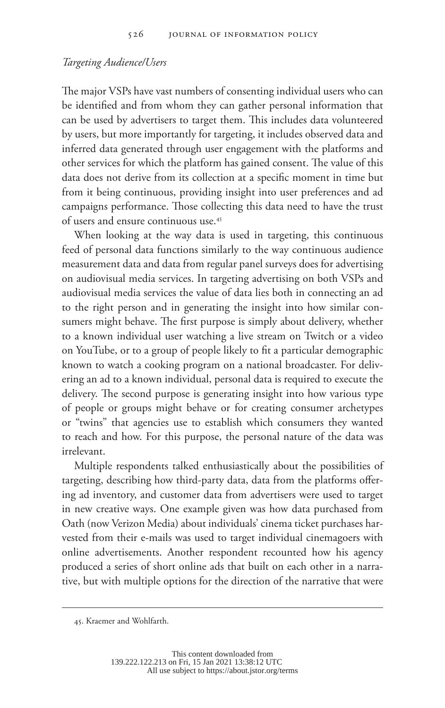#### *Targeting Audience/Users*

The major VSPs have vast numbers of consenting individual users who can be identified and from whom they can gather personal information that can be used by advertisers to target them. This includes data volunteered by users, but more importantly for targeting, it includes observed data and inferred data generated through user engagement with the platforms and other services for which the platform has gained consent. The value of this data does not derive from its collection at a specific moment in time but from it being continuous, providing insight into user preferences and ad campaigns performance. Those collecting this data need to have the trust of users and ensure continuous use.45

When looking at the way data is used in targeting, this continuous feed of personal data functions similarly to the way continuous audience measurement data and data from regular panel surveys does for advertising on audiovisual media services. In targeting advertising on both VSPs and audiovisual media services the value of data lies both in connecting an ad to the right person and in generating the insight into how similar consumers might behave. The first purpose is simply about delivery, whether to a known individual user watching a live stream on Twitch or a video on YouTube, or to a group of people likely to fit a particular demographic known to watch a cooking program on a national broadcaster. For delivering an ad to a known individual, personal data is required to execute the delivery. The second purpose is generating insight into how various type of people or groups might behave or for creating consumer archetypes or "twins" that agencies use to establish which consumers they wanted to reach and how. For this purpose, the personal nature of the data was irrelevant.

Multiple respondents talked enthusiastically about the possibilities of targeting, describing how third-party data, data from the platforms offering ad inventory, and customer data from advertisers were used to target in new creative ways. One example given was how data purchased from Oath (now Verizon Media) about individuals' cinema ticket purchases harvested from their e-mails was used to target individual cinemagoers with online advertisements. Another respondent recounted how his agency produced a series of short online ads that built on each other in a narrative, but with multiple options for the direction of the narrative that were

<sup>45.</sup> Kraemer and Wohlfarth.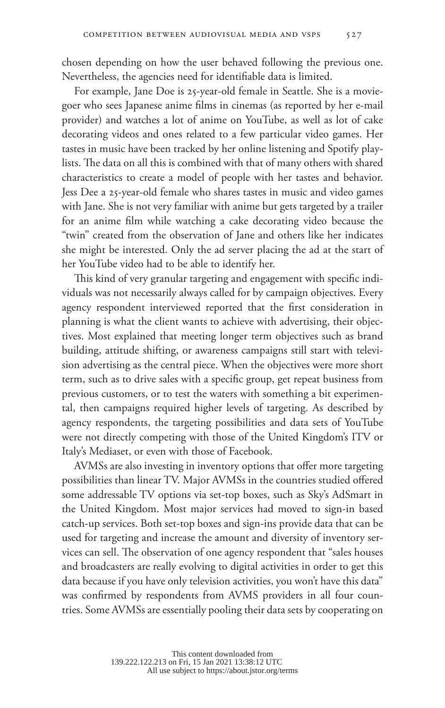chosen depending on how the user behaved following the previous one. Nevertheless, the agencies need for identifiable data is limited.

For example, Jane Doe is 25-year-old female in Seattle. She is a moviegoer who sees Japanese anime films in cinemas (as reported by her e-mail provider) and watches a lot of anime on YouTube, as well as lot of cake decorating videos and ones related to a few particular video games. Her tastes in music have been tracked by her online listening and Spotify playlists. The data on all this is combined with that of many others with shared characteristics to create a model of people with her tastes and behavior. Jess Dee a 25-year-old female who shares tastes in music and video games with Jane. She is not very familiar with anime but gets targeted by a trailer for an anime film while watching a cake decorating video because the "twin" created from the observation of Jane and others like her indicates she might be interested. Only the ad server placing the ad at the start of her YouTube video had to be able to identify her.

This kind of very granular targeting and engagement with specific individuals was not necessarily always called for by campaign objectives. Every agency respondent interviewed reported that the first consideration in planning is what the client wants to achieve with advertising, their objectives. Most explained that meeting longer term objectives such as brand building, attitude shifting, or awareness campaigns still start with television advertising as the central piece. When the objectives were more short term, such as to drive sales with a specific group, get repeat business from previous customers, or to test the waters with something a bit experimental, then campaigns required higher levels of targeting. As described by agency respondents, the targeting possibilities and data sets of YouTube were not directly competing with those of the United Kingdom's ITV or Italy's Mediaset, or even with those of Facebook.

AVMSs are also investing in inventory options that offer more targeting possibilities than linear TV. Major AVMSs in the countries studied offered some addressable TV options via set-top boxes, such as Sky's AdSmart in the United Kingdom. Most major services had moved to sign-in based catch-up services. Both set-top boxes and sign-ins provide data that can be used for targeting and increase the amount and diversity of inventory services can sell. The observation of one agency respondent that "sales houses and broadcasters are really evolving to digital activities in order to get this data because if you have only television activities, you won't have this data" was confirmed by respondents from AVMS providers in all four countries. Some AVMSs are essentially pooling their data sets by cooperating on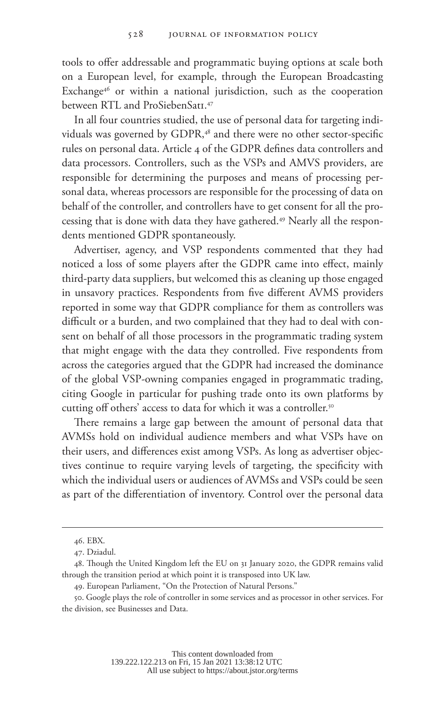tools to offer addressable and programmatic buying options at scale both on a European level, for example, through the European Broadcasting Exchange<sup>46</sup> or within a national jurisdiction, such as the cooperation between RTL and ProSiebenSat1.47

In all four countries studied, the use of personal data for targeting individuals was governed by GDPR,<sup>48</sup> and there were no other sector-specific rules on personal data. Article 4 of the GDPR defines data controllers and data processors. Controllers, such as the VSPs and AMVS providers, are responsible for determining the purposes and means of processing personal data, whereas processors are responsible for the processing of data on behalf of the controller, and controllers have to get consent for all the processing that is done with data they have gathered.49 Nearly all the respondents mentioned GDPR spontaneously.

Advertiser, agency, and VSP respondents commented that they had noticed a loss of some players after the GDPR came into effect, mainly third-party data suppliers, but welcomed this as cleaning up those engaged in unsavory practices. Respondents from five different AVMS providers reported in some way that GDPR compliance for them as controllers was difficult or a burden, and two complained that they had to deal with consent on behalf of all those processors in the programmatic trading system that might engage with the data they controlled. Five respondents from across the categories argued that the GDPR had increased the dominance of the global VSP-owning companies engaged in programmatic trading, citing Google in particular for pushing trade onto its own platforms by cutting off others' access to data for which it was a controller.<sup>50</sup>

There remains a large gap between the amount of personal data that AVMSs hold on individual audience members and what VSPs have on their users, and differences exist among VSPs. As long as advertiser objectives continue to require varying levels of targeting, the specificity with which the individual users or audiences of AVMSs and VSPs could be seen as part of the differentiation of inventory. Control over the personal data

<sup>46.</sup> EBX.

<sup>47.</sup> Dziadul.

<sup>48.</sup> Though the United Kingdom left the EU on 31 January 2020, the GDPR remains valid through the transition period at which point it is transposed into UK law.

<sup>49.</sup> European Parliament, "On the Protection of Natural Persons."

<sup>50.</sup> Google plays the role of controller in some services and as processor in other services. For the division, see Businesses and Data.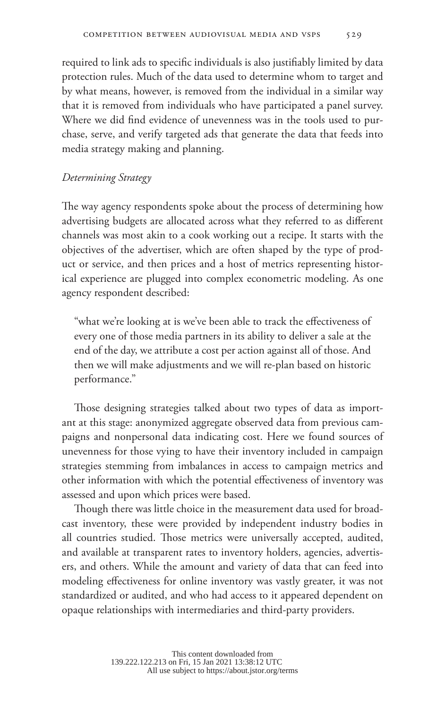required to link ads to specific individuals is also justifiably limited by data protection rules. Much of the data used to determine whom to target and by what means, however, is removed from the individual in a similar way that it is removed from individuals who have participated a panel survey. Where we did find evidence of unevenness was in the tools used to purchase, serve, and verify targeted ads that generate the data that feeds into media strategy making and planning.

## *Determining Strategy*

The way agency respondents spoke about the process of determining how advertising budgets are allocated across what they referred to as different channels was most akin to a cook working out a recipe. It starts with the objectives of the advertiser, which are often shaped by the type of product or service, and then prices and a host of metrics representing historical experience are plugged into complex econometric modeling. As one agency respondent described:

"what we're looking at is we've been able to track the effectiveness of every one of those media partners in its ability to deliver a sale at the end of the day, we attribute a cost per action against all of those. And then we will make adjustments and we will re-plan based on historic performance."

Those designing strategies talked about two types of data as important at this stage: anonymized aggregate observed data from previous campaigns and nonpersonal data indicating cost. Here we found sources of unevenness for those vying to have their inventory included in campaign strategies stemming from imbalances in access to campaign metrics and other information with which the potential effectiveness of inventory was assessed and upon which prices were based.

Though there was little choice in the measurement data used for broadcast inventory, these were provided by independent industry bodies in all countries studied. Those metrics were universally accepted, audited, and available at transparent rates to inventory holders, agencies, advertisers, and others. While the amount and variety of data that can feed into modeling effectiveness for online inventory was vastly greater, it was not standardized or audited, and who had access to it appeared dependent on opaque relationships with intermediaries and third-party providers.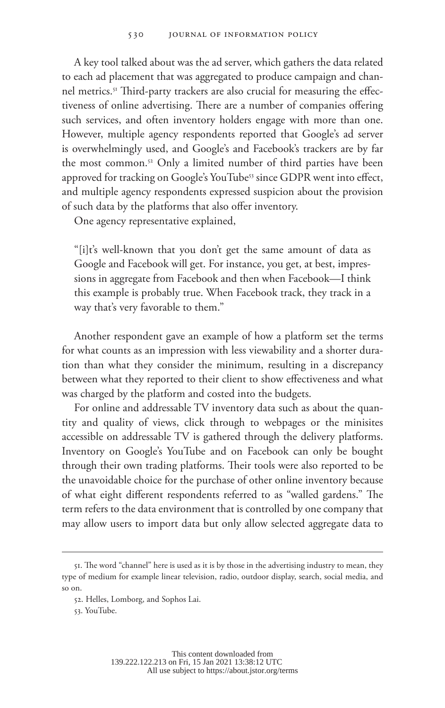A key tool talked about was the ad server, which gathers the data related to each ad placement that was aggregated to produce campaign and channel metrics.<sup>51</sup> Third-party trackers are also crucial for measuring the effectiveness of online advertising. There are a number of companies offering such services, and often inventory holders engage with more than one. However, multiple agency respondents reported that Google's ad server is overwhelmingly used, and Google's and Facebook's trackers are by far the most common.<sup>52</sup> Only a limited number of third parties have been approved for tracking on Google's YouTube<sup>53</sup> since GDPR went into effect, and multiple agency respondents expressed suspicion about the provision of such data by the platforms that also offer inventory.

One agency representative explained,

"[i]t's well-known that you don't get the same amount of data as Google and Facebook will get. For instance, you get, at best, impressions in aggregate from Facebook and then when Facebook—I think this example is probably true. When Facebook track, they track in a way that's very favorable to them."

Another respondent gave an example of how a platform set the terms for what counts as an impression with less viewability and a shorter duration than what they consider the minimum, resulting in a discrepancy between what they reported to their client to show effectiveness and what was charged by the platform and costed into the budgets.

For online and addressable TV inventory data such as about the quantity and quality of views, click through to webpages or the minisites accessible on addressable TV is gathered through the delivery platforms. Inventory on Google's YouTube and on Facebook can only be bought through their own trading platforms. Their tools were also reported to be the unavoidable choice for the purchase of other online inventory because of what eight different respondents referred to as "walled gardens." The term refers to the data environment that is controlled by one company that may allow users to import data but only allow selected aggregate data to

<sup>51.</sup> The word "channel" here is used as it is by those in the advertising industry to mean, they type of medium for example linear television, radio, outdoor display, search, social media, and so on.

<sup>52.</sup> Helles, Lomborg, and Sophos Lai.

<sup>53.</sup> YouTube.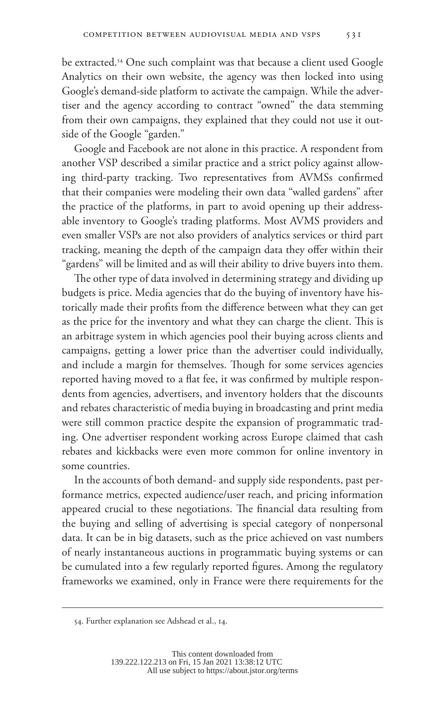be extracted.54 One such complaint was that because a client used Google Analytics on their own website, the agency was then locked into using Google's demand-side platform to activate the campaign. While the advertiser and the agency according to contract "owned" the data stemming from their own campaigns, they explained that they could not use it outside of the Google "garden."

Google and Facebook are not alone in this practice. A respondent from another VSP described a similar practice and a strict policy against allowing third-party tracking. Two representatives from AVMSs confirmed that their companies were modeling their own data "walled gardens" after the practice of the platforms, in part to avoid opening up their addressable inventory to Google's trading platforms. Most AVMS providers and even smaller VSPs are not also providers of analytics services or third part tracking, meaning the depth of the campaign data they offer within their "gardens" will be limited and as will their ability to drive buyers into them.

The other type of data involved in determining strategy and dividing up budgets is price. Media agencies that do the buying of inventory have historically made their profits from the difference between what they can get as the price for the inventory and what they can charge the client. This is an arbitrage system in which agencies pool their buying across clients and campaigns, getting a lower price than the advertiser could individually, and include a margin for themselves. Though for some services agencies reported having moved to a flat fee, it was confirmed by multiple respondents from agencies, advertisers, and inventory holders that the discounts and rebates characteristic of media buying in broadcasting and print media were still common practice despite the expansion of programmatic trading. One advertiser respondent working across Europe claimed that cash rebates and kickbacks were even more common for online inventory in some countries.

In the accounts of both demand- and supply side respondents, past performance metrics, expected audience/user reach, and pricing information appeared crucial to these negotiations. The financial data resulting from the buying and selling of advertising is special category of nonpersonal data. It can be in big datasets, such as the price achieved on vast numbers of nearly instantaneous auctions in programmatic buying systems or can be cumulated into a few regularly reported figures. Among the regulatory frameworks we examined, only in France were there requirements for the

<sup>54.</sup> Further explanation see Adshead et al., 14.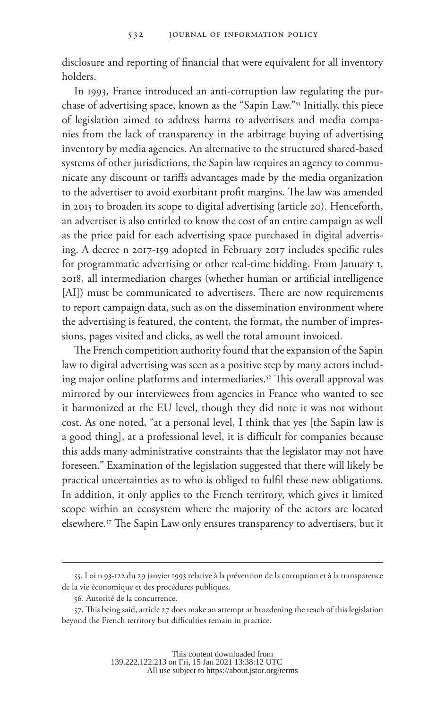disclosure and reporting of financial that were equivalent for all inventory holders.

In 1993, France introduced an anti-corruption law regulating the purchase of advertising space, known as the "Sapin Law."55 Initially, this piece of legislation aimed to address harms to advertisers and media companies from the lack of transparency in the arbitrage buying of advertising inventory by media agencies. An alternative to the structured shared-based systems of other jurisdictions, the Sapin law requires an agency to communicate any discount or tariffs advantages made by the media organization to the advertiser to avoid exorbitant profit margins. The law was amended in 2015 to broaden its scope to digital advertising (article 20). Henceforth, an advertiser is also entitled to know the cost of an entire campaign as well as the price paid for each advertising space purchased in digital advertising. A decree n 2017-159 adopted in February 2017 includes specific rules for programmatic advertising or other real-time bidding. From January 1, 2018, all intermediation charges (whether human or artificial intelligence [AI]) must be communicated to advertisers. There are now requirements to report campaign data, such as on the dissemination environment where the advertising is featured, the content, the format, the number of impressions, pages visited and clicks, as well the total amount invoiced.

The French competition authority found that the expansion of the Sapin law to digital advertising was seen as a positive step by many actors including major online platforms and intermediaries.<sup>56</sup> This overall approval was mirrored by our interviewees from agencies in France who wanted to see it harmonized at the EU level, though they did note it was not without cost. As one noted, "at a personal level, I think that yes [the Sapin law is a good thing], at a professional level, it is difficult for companies because this adds many administrative constraints that the legislator may not have foreseen." Examination of the legislation suggested that there will likely be practical uncertainties as to who is obliged to fulfil these new obligations. In addition, it only applies to the French territory, which gives it limited scope within an ecosystem where the majority of the actors are located elsewhere.57 The Sapin Law only ensures transparency to advertisers, but it

<sup>55.</sup> Loi n 93-122 du 29 janvier 1993 relative à la prévention de la corruption et à la transparence de la vie économique et des procédures publiques.

<sup>56.</sup> Autorité de la concurrence.

<sup>57.</sup> This being said, article 27 does make an attempt at broadening the reach of this legislation beyond the French territory but difficulties remain in practice.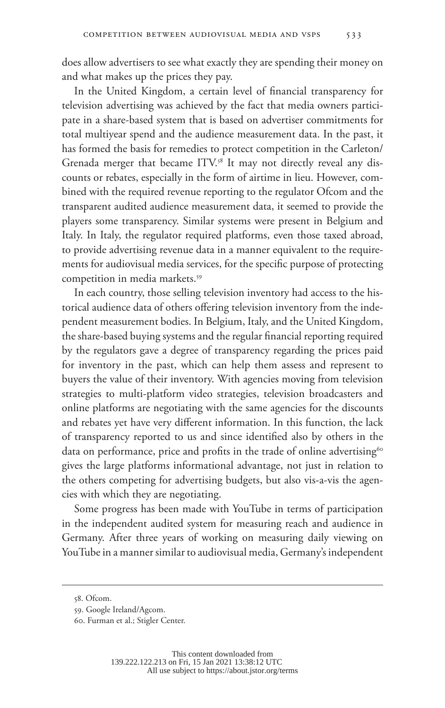does allow advertisers to see what exactly they are spending their money on and what makes up the prices they pay.

In the United Kingdom, a certain level of financial transparency for television advertising was achieved by the fact that media owners participate in a share-based system that is based on advertiser commitments for total multiyear spend and the audience measurement data. In the past, it has formed the basis for remedies to protect competition in the Carleton/ Grenada merger that became ITV.<sup>58</sup> It may not directly reveal any discounts or rebates, especially in the form of airtime in lieu. However, combined with the required revenue reporting to the regulator Ofcom and the transparent audited audience measurement data, it seemed to provide the players some transparency. Similar systems were present in Belgium and Italy. In Italy, the regulator required platforms, even those taxed abroad, to provide advertising revenue data in a manner equivalent to the requirements for audiovisual media services, for the specific purpose of protecting competition in media markets.<sup>59</sup>

In each country, those selling television inventory had access to the historical audience data of others offering television inventory from the independent measurement bodies. In Belgium, Italy, and the United Kingdom, the share-based buying systems and the regular financial reporting required by the regulators gave a degree of transparency regarding the prices paid for inventory in the past, which can help them assess and represent to buyers the value of their inventory. With agencies moving from television strategies to multi-platform video strategies, television broadcasters and online platforms are negotiating with the same agencies for the discounts and rebates yet have very different information. In this function, the lack of transparency reported to us and since identified also by others in the data on performance, price and profits in the trade of online advertising<sup>60</sup> gives the large platforms informational advantage, not just in relation to the others competing for advertising budgets, but also vis-a-vis the agencies with which they are negotiating.

Some progress has been made with YouTube in terms of participation in the independent audited system for measuring reach and audience in Germany. After three years of working on measuring daily viewing on YouTube in a manner similar to audiovisual media, Germany's independent

<sup>58.</sup> Ofcom.

<sup>59.</sup> Google Ireland/Agcom.

<sup>60.</sup> Furman et al.; Stigler Center.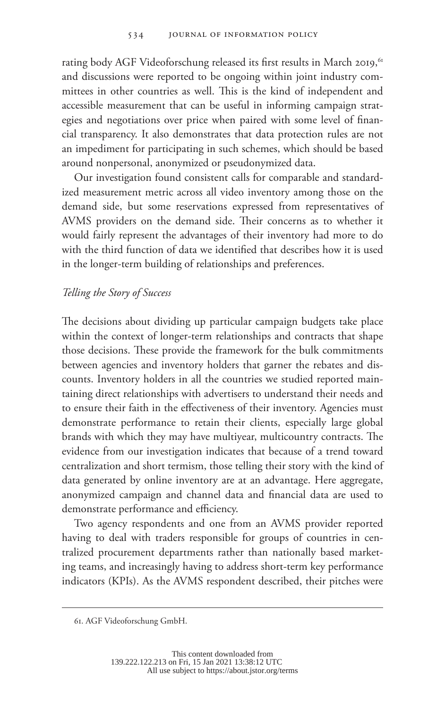rating body AGF Videoforschung released its first results in March 2019,<sup>61</sup> and discussions were reported to be ongoing within joint industry committees in other countries as well. This is the kind of independent and accessible measurement that can be useful in informing campaign strategies and negotiations over price when paired with some level of financial transparency. It also demonstrates that data protection rules are not an impediment for participating in such schemes, which should be based around nonpersonal, anonymized or pseudonymized data.

Our investigation found consistent calls for comparable and standardized measurement metric across all video inventory among those on the demand side, but some reservations expressed from representatives of AVMS providers on the demand side. Their concerns as to whether it would fairly represent the advantages of their inventory had more to do with the third function of data we identified that describes how it is used in the longer-term building of relationships and preferences.

### *Telling the Story of Success*

The decisions about dividing up particular campaign budgets take place within the context of longer-term relationships and contracts that shape those decisions. These provide the framework for the bulk commitments between agencies and inventory holders that garner the rebates and discounts. Inventory holders in all the countries we studied reported maintaining direct relationships with advertisers to understand their needs and to ensure their faith in the effectiveness of their inventory. Agencies must demonstrate performance to retain their clients, especially large global brands with which they may have multiyear, multicountry contracts. The evidence from our investigation indicates that because of a trend toward centralization and short termism, those telling their story with the kind of data generated by online inventory are at an advantage. Here aggregate, anonymized campaign and channel data and financial data are used to demonstrate performance and efficiency.

Two agency respondents and one from an AVMS provider reported having to deal with traders responsible for groups of countries in centralized procurement departments rather than nationally based marketing teams, and increasingly having to address short-term key performance indicators (KPIs). As the AVMS respondent described, their pitches were

<sup>61.</sup> AGF Videoforschung GmbH.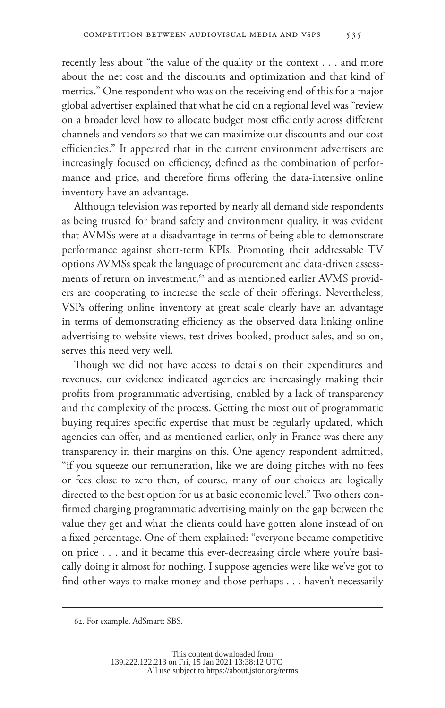recently less about "the value of the quality or the context . . . and more about the net cost and the discounts and optimization and that kind of metrics." One respondent who was on the receiving end of this for a major global advertiser explained that what he did on a regional level was "review on a broader level how to allocate budget most efficiently across different channels and vendors so that we can maximize our discounts and our cost efficiencies." It appeared that in the current environment advertisers are increasingly focused on efficiency, defined as the combination of performance and price, and therefore firms offering the data-intensive online inventory have an advantage.

Although television was reported by nearly all demand side respondents as being trusted for brand safety and environment quality, it was evident that AVMSs were at a disadvantage in terms of being able to demonstrate performance against short-term KPIs. Promoting their addressable TV options AVMSs speak the language of procurement and data-driven assessments of return on investment,<sup>62</sup> and as mentioned earlier AVMS providers are cooperating to increase the scale of their offerings. Nevertheless, VSPs offering online inventory at great scale clearly have an advantage in terms of demonstrating efficiency as the observed data linking online advertising to website views, test drives booked, product sales, and so on, serves this need very well.

Though we did not have access to details on their expenditures and revenues, our evidence indicated agencies are increasingly making their profits from programmatic advertising, enabled by a lack of transparency and the complexity of the process. Getting the most out of programmatic buying requires specific expertise that must be regularly updated, which agencies can offer, and as mentioned earlier, only in France was there any transparency in their margins on this. One agency respondent admitted, "if you squeeze our remuneration, like we are doing pitches with no fees or fees close to zero then, of course, many of our choices are logically directed to the best option for us at basic economic level." Two others confirmed charging programmatic advertising mainly on the gap between the value they get and what the clients could have gotten alone instead of on a fixed percentage. One of them explained: "everyone became competitive on price . . . and it became this ever-decreasing circle where you're basically doing it almost for nothing. I suppose agencies were like we've got to find other ways to make money and those perhaps . . . haven't necessarily

<sup>62.</sup> For example, AdSmart; SBS.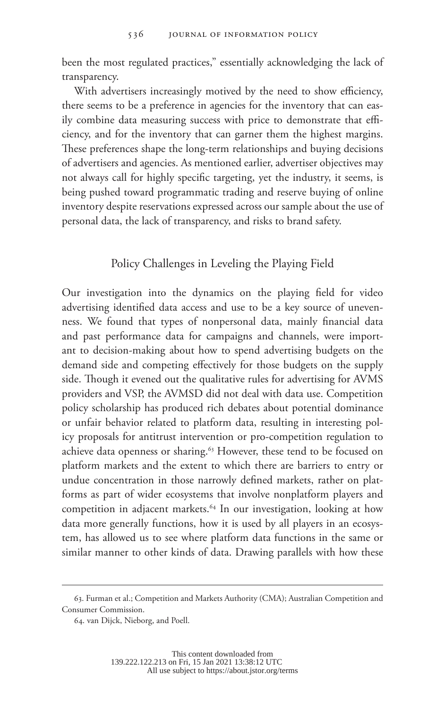been the most regulated practices," essentially acknowledging the lack of transparency.

With advertisers increasingly motived by the need to show efficiency, there seems to be a preference in agencies for the inventory that can easily combine data measuring success with price to demonstrate that efficiency, and for the inventory that can garner them the highest margins. These preferences shape the long-term relationships and buying decisions of advertisers and agencies. As mentioned earlier, advertiser objectives may not always call for highly specific targeting, yet the industry, it seems, is being pushed toward programmatic trading and reserve buying of online inventory despite reservations expressed across our sample about the use of personal data, the lack of transparency, and risks to brand safety.

# Policy Challenges in Leveling the Playing Field

Our investigation into the dynamics on the playing field for video advertising identified data access and use to be a key source of unevenness. We found that types of nonpersonal data, mainly financial data and past performance data for campaigns and channels, were important to decision-making about how to spend advertising budgets on the demand side and competing effectively for those budgets on the supply side. Though it evened out the qualitative rules for advertising for AVMS providers and VSP, the AVMSD did not deal with data use. Competition policy scholarship has produced rich debates about potential dominance or unfair behavior related to platform data, resulting in interesting policy proposals for antitrust intervention or pro-competition regulation to achieve data openness or sharing.<sup>63</sup> However, these tend to be focused on platform markets and the extent to which there are barriers to entry or undue concentration in those narrowly defined markets, rather on platforms as part of wider ecosystems that involve nonplatform players and competition in adjacent markets.<sup>64</sup> In our investigation, looking at how data more generally functions, how it is used by all players in an ecosystem, has allowed us to see where platform data functions in the same or similar manner to other kinds of data. Drawing parallels with how these

<sup>63.</sup> Furman et al.; Competition and Markets Authority (CMA); Australian Competition and Consumer Commission.

<sup>64.</sup> van Dijck, Nieborg, and Poell.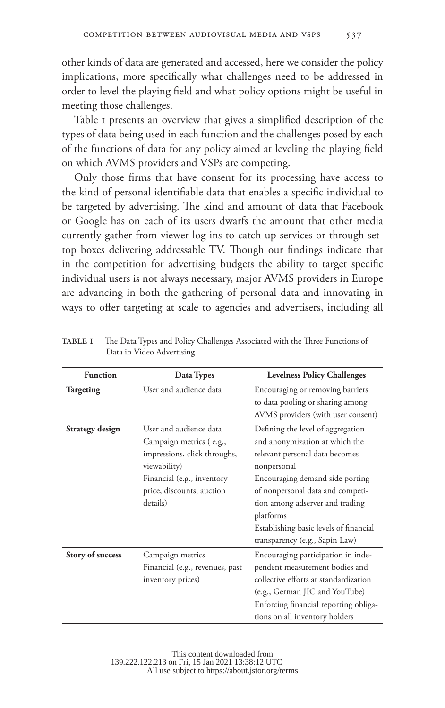other kinds of data are generated and accessed, here we consider the policy implications, more specifically what challenges need to be addressed in order to level the playing field and what policy options might be useful in meeting those challenges.

Table 1 presents an overview that gives a simplified description of the types of data being used in each function and the challenges posed by each of the functions of data for any policy aimed at leveling the playing field on which AVMS providers and VSPs are competing.

Only those firms that have consent for its processing have access to the kind of personal identifiable data that enables a specific individual to be targeted by advertising. The kind and amount of data that Facebook or Google has on each of its users dwarfs the amount that other media currently gather from viewer log-ins to catch up services or through settop boxes delivering addressable TV. Though our findings indicate that in the competition for advertising budgets the ability to target specific individual users is not always necessary, major AVMS providers in Europe are advancing in both the gathering of personal data and innovating in ways to offer targeting at scale to agencies and advertisers, including all

| <b>Function</b>  | Data Types                      | <b>Levelness Policy Challenges</b>     |
|------------------|---------------------------------|----------------------------------------|
| Targeting        | User and audience data          | Encouraging or removing barriers       |
|                  |                                 | to data pooling or sharing among       |
|                  |                                 | AVMS providers (with user consent)     |
| Strategy design  | User and audience data          | Defining the level of aggregation      |
|                  | Campaign metrics (e.g.,         | and anonymization at which the         |
|                  | impressions, click throughs,    | relevant personal data becomes         |
|                  | viewability)                    | nonpersonal                            |
|                  | Financial (e.g., inventory      | Encouraging demand side porting        |
|                  | price, discounts, auction       | of nonpersonal data and competi-       |
|                  | details)                        | tion among adserver and trading        |
|                  |                                 | platforms                              |
|                  |                                 | Establishing basic levels of financial |
|                  |                                 | transparency (e.g., Sapin Law)         |
| Story of success | Campaign metrics                | Encouraging participation in inde-     |
|                  | Financial (e.g., revenues, past | pendent measurement bodies and         |
|                  | inventory prices)               | collective efforts at standardization  |
|                  |                                 | (e.g., German JIC and YouTube)         |
|                  |                                 | Enforcing financial reporting obliga-  |
|                  |                                 | tions on all inventory holders         |

TABLE I The Data Types and Policy Challenges Associated with the Three Functions of Data in Video Advertising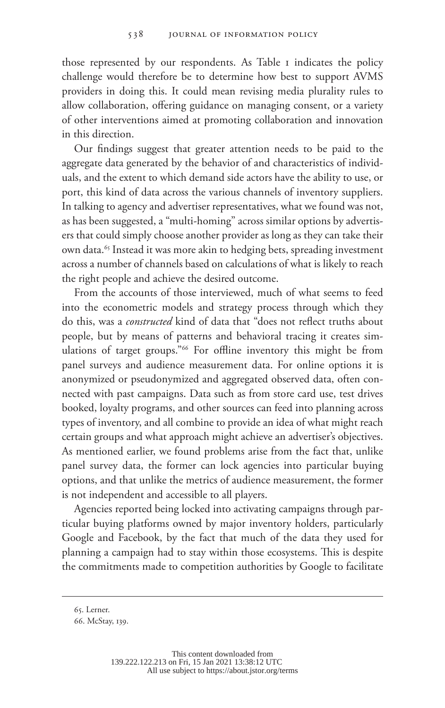those represented by our respondents. As Table 1 indicates the policy challenge would therefore be to determine how best to support AVMS providers in doing this. It could mean revising media plurality rules to allow collaboration, offering guidance on managing consent, or a variety of other interventions aimed at promoting collaboration and innovation in this direction.

Our findings suggest that greater attention needs to be paid to the aggregate data generated by the behavior of and characteristics of individuals, and the extent to which demand side actors have the ability to use, or port, this kind of data across the various channels of inventory suppliers. In talking to agency and advertiser representatives, what we found was not, as has been suggested, a "multi-homing" across similar options by advertisers that could simply choose another provider as long as they can take their own data.<sup>65</sup> Instead it was more akin to hedging bets, spreading investment across a number of channels based on calculations of what is likely to reach the right people and achieve the desired outcome.

From the accounts of those interviewed, much of what seems to feed into the econometric models and strategy process through which they do this, was a *constructed* kind of data that "does not reflect truths about people, but by means of patterns and behavioral tracing it creates simulations of target groups."66 For offline inventory this might be from panel surveys and audience measurement data. For online options it is anonymized or pseudonymized and aggregated observed data, often connected with past campaigns. Data such as from store card use, test drives booked, loyalty programs, and other sources can feed into planning across types of inventory, and all combine to provide an idea of what might reach certain groups and what approach might achieve an advertiser's objectives. As mentioned earlier, we found problems arise from the fact that, unlike panel survey data, the former can lock agencies into particular buying options, and that unlike the metrics of audience measurement, the former is not independent and accessible to all players.

Agencies reported being locked into activating campaigns through particular buying platforms owned by major inventory holders, particularly Google and Facebook, by the fact that much of the data they used for planning a campaign had to stay within those ecosystems. This is despite the commitments made to competition authorities by Google to facilitate

<sup>65.</sup> Lerner.

<sup>66.</sup> McStay, 139.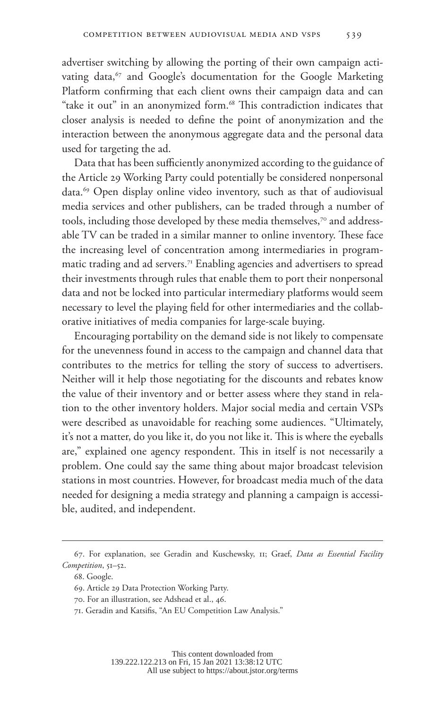advertiser switching by allowing the porting of their own campaign activating data,<sup>67</sup> and Google's documentation for the Google Marketing Platform confirming that each client owns their campaign data and can "take it out" in an anonymized form.<sup>68</sup> This contradiction indicates that closer analysis is needed to define the point of anonymization and the interaction between the anonymous aggregate data and the personal data used for targeting the ad.

Data that has been sufficiently anonymized according to the guidance of the Article 29 Working Party could potentially be considered nonpersonal data.69 Open display online video inventory, such as that of audiovisual media services and other publishers, can be traded through a number of tools, including those developed by these media themselves,<sup>70</sup> and addressable TV can be traded in a similar manner to online inventory. These face the increasing level of concentration among intermediaries in programmatic trading and ad servers.<sup>71</sup> Enabling agencies and advertisers to spread their investments through rules that enable them to port their nonpersonal data and not be locked into particular intermediary platforms would seem necessary to level the playing field for other intermediaries and the collaborative initiatives of media companies for large-scale buying.

Encouraging portability on the demand side is not likely to compensate for the unevenness found in access to the campaign and channel data that contributes to the metrics for telling the story of success to advertisers. Neither will it help those negotiating for the discounts and rebates know the value of their inventory and or better assess where they stand in relation to the other inventory holders. Major social media and certain VSPs were described as unavoidable for reaching some audiences. "Ultimately, it's not a matter, do you like it, do you not like it. This is where the eyeballs are," explained one agency respondent. This in itself is not necessarily a problem. One could say the same thing about major broadcast television stations in most countries. However, for broadcast media much of the data needed for designing a media strategy and planning a campaign is accessible, audited, and independent.

<sup>67.</sup> For explanation, see Geradin and Kuschewsky, 11; Graef, *Data as Essential Facility Competition*, 51–52.

<sup>68.</sup> Google.

<sup>69.</sup> Article 29 Data Protection Working Party.

<sup>70.</sup> For an illustration, see Adshead et al., 46.

<sup>71.</sup> Geradin and Katsifis, "An EU Competition Law Analysis."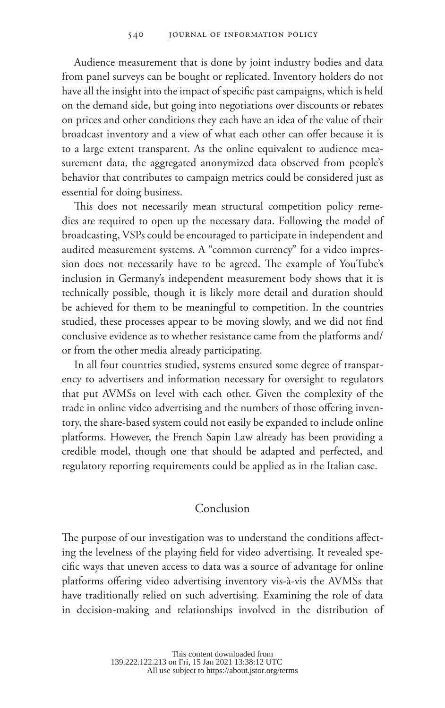Audience measurement that is done by joint industry bodies and data from panel surveys can be bought or replicated. Inventory holders do not have all the insight into the impact of specific past campaigns, which is held on the demand side, but going into negotiations over discounts or rebates on prices and other conditions they each have an idea of the value of their broadcast inventory and a view of what each other can offer because it is to a large extent transparent. As the online equivalent to audience measurement data, the aggregated anonymized data observed from people's behavior that contributes to campaign metrics could be considered just as essential for doing business.

This does not necessarily mean structural competition policy remedies are required to open up the necessary data. Following the model of broadcasting, VSPs could be encouraged to participate in independent and audited measurement systems. A "common currency" for a video impression does not necessarily have to be agreed. The example of YouTube's inclusion in Germany's independent measurement body shows that it is technically possible, though it is likely more detail and duration should be achieved for them to be meaningful to competition. In the countries studied, these processes appear to be moving slowly, and we did not find conclusive evidence as to whether resistance came from the platforms and/ or from the other media already participating.

In all four countries studied, systems ensured some degree of transparency to advertisers and information necessary for oversight to regulators that put AVMSs on level with each other. Given the complexity of the trade in online video advertising and the numbers of those offering inventory, the share-based system could not easily be expanded to include online platforms. However, the French Sapin Law already has been providing a credible model, though one that should be adapted and perfected, and regulatory reporting requirements could be applied as in the Italian case.

#### Conclusion

The purpose of our investigation was to understand the conditions affecting the levelness of the playing field for video advertising. It revealed specific ways that uneven access to data was a source of advantage for online platforms offering video advertising inventory vis-à-vis the AVMSs that have traditionally relied on such advertising. Examining the role of data in decision-making and relationships involved in the distribution of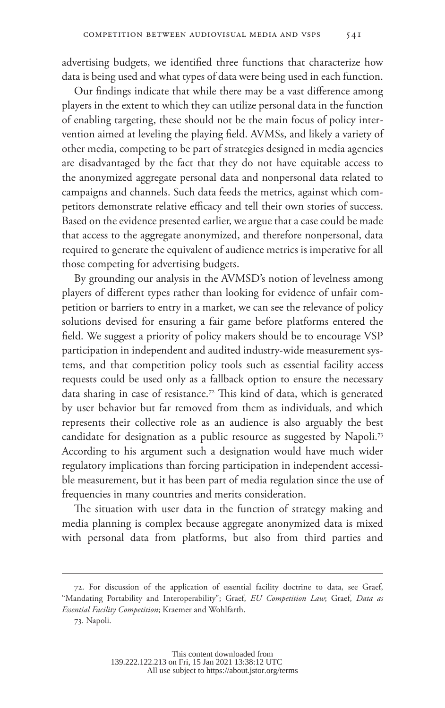advertising budgets, we identified three functions that characterize how data is being used and what types of data were being used in each function.

Our findings indicate that while there may be a vast difference among players in the extent to which they can utilize personal data in the function of enabling targeting, these should not be the main focus of policy intervention aimed at leveling the playing field. AVMSs, and likely a variety of other media, competing to be part of strategies designed in media agencies are disadvantaged by the fact that they do not have equitable access to the anonymized aggregate personal data and nonpersonal data related to campaigns and channels. Such data feeds the metrics, against which competitors demonstrate relative efficacy and tell their own stories of success. Based on the evidence presented earlier, we argue that a case could be made that access to the aggregate anonymized, and therefore nonpersonal, data required to generate the equivalent of audience metrics is imperative for all those competing for advertising budgets.

By grounding our analysis in the AVMSD's notion of levelness among players of different types rather than looking for evidence of unfair competition or barriers to entry in a market, we can see the relevance of policy solutions devised for ensuring a fair game before platforms entered the field. We suggest a priority of policy makers should be to encourage VSP participation in independent and audited industry-wide measurement systems, and that competition policy tools such as essential facility access requests could be used only as a fallback option to ensure the necessary data sharing in case of resistance.72 This kind of data, which is generated by user behavior but far removed from them as individuals, and which represents their collective role as an audience is also arguably the best candidate for designation as a public resource as suggested by Napoli.<sup>73</sup> According to his argument such a designation would have much wider regulatory implications than forcing participation in independent accessible measurement, but it has been part of media regulation since the use of frequencies in many countries and merits consideration.

The situation with user data in the function of strategy making and media planning is complex because aggregate anonymized data is mixed with personal data from platforms, but also from third parties and

<sup>72.</sup> For discussion of the application of essential facility doctrine to data, see Graef, "Mandating Portability and Interoperability"; Graef, *EU Competition Law*; Graef, *Data as Essential Facility Competition*; Kraemer and Wohlfarth.

<sup>73.</sup> Napoli.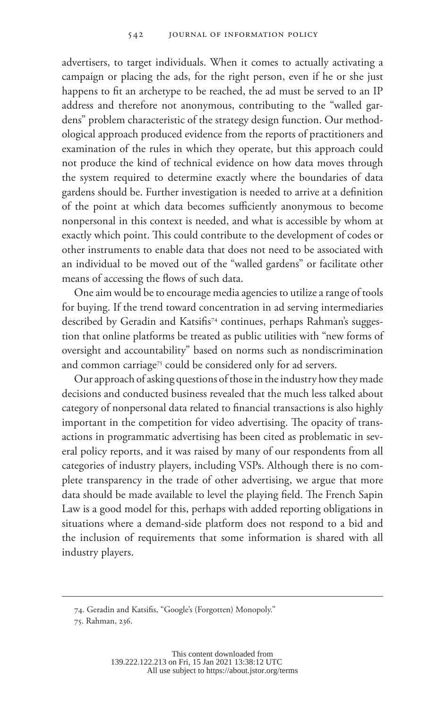advertisers, to target individuals. When it comes to actually activating a campaign or placing the ads, for the right person, even if he or she just happens to fit an archetype to be reached, the ad must be served to an IP address and therefore not anonymous, contributing to the "walled gardens" problem characteristic of the strategy design function. Our methodological approach produced evidence from the reports of practitioners and examination of the rules in which they operate, but this approach could not produce the kind of technical evidence on how data moves through the system required to determine exactly where the boundaries of data gardens should be. Further investigation is needed to arrive at a definition of the point at which data becomes sufficiently anonymous to become nonpersonal in this context is needed, and what is accessible by whom at exactly which point. This could contribute to the development of codes or other instruments to enable data that does not need to be associated with an individual to be moved out of the "walled gardens" or facilitate other means of accessing the flows of such data.

One aim would be to encourage media agencies to utilize a range of tools for buying. If the trend toward concentration in ad serving intermediaries described by Geradin and Katsifis<sup>74</sup> continues, perhaps Rahman's suggestion that online platforms be treated as public utilities with "new forms of oversight and accountability" based on norms such as nondiscrimination and common carriage<sup>75</sup> could be considered only for ad servers.

Our approach of asking questions of those in the industry how they made decisions and conducted business revealed that the much less talked about category of nonpersonal data related to financial transactions is also highly important in the competition for video advertising. The opacity of transactions in programmatic advertising has been cited as problematic in several policy reports, and it was raised by many of our respondents from all categories of industry players, including VSPs. Although there is no complete transparency in the trade of other advertising, we argue that more data should be made available to level the playing field. The French Sapin Law is a good model for this, perhaps with added reporting obligations in situations where a demand-side platform does not respond to a bid and the inclusion of requirements that some information is shared with all industry players.

<sup>74.</sup> Geradin and Katsifis, "Google's (Forgotten) Monopoly."

<sup>75.</sup> Rahman, 236.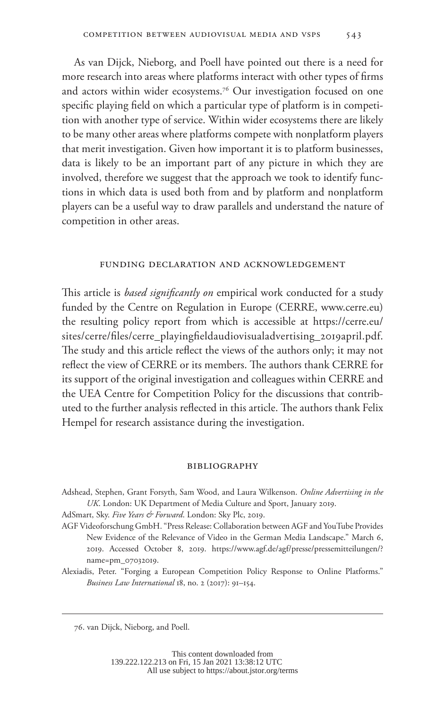As van Dijck, Nieborg, and Poell have pointed out there is a need for more research into areas where platforms interact with other types of firms and actors within wider ecosystems.<sup>76</sup> Our investigation focused on one specific playing field on which a particular type of platform is in competition with another type of service. Within wider ecosystems there are likely to be many other areas where platforms compete with nonplatform players that merit investigation. Given how important it is to platform businesses, data is likely to be an important part of any picture in which they are involved, therefore we suggest that the approach we took to identify functions in which data is used both from and by platform and nonplatform players can be a useful way to draw parallels and understand the nature of competition in other areas.

#### funding declaration and acknowledgement

This article is *based significantly on* empirical work conducted for a study funded by the Centre on Regulation in Europe (CERRE, [www.cerre.eu](http://www.cerre.eu)) the resulting policy report from which is accessible at [https://cerre.eu/](https://cerre.eu/sites/cerre/files/cerre_playingfieldaudiovisualadvertising_2019april.pdf) [sites/cerre/files/cerre\\_playingfieldaudiovisualadvertising\\_2019april.pdf](https://cerre.eu/sites/cerre/files/cerre_playingfieldaudiovisualadvertising_2019april.pdf). The study and this article reflect the views of the authors only; it may not reflect the view of CERRE or its members. The authors thank CERRE for its support of the original investigation and colleagues within CERRE and the UEA Centre for Competition Policy for the discussions that contributed to the further analysis reflected in this article. The authors thank Felix Hempel for research assistance during the investigation.

#### **BIBLIOGRAPHY**

- Adshead, Stephen, Grant Forsyth, Sam Wood, and Laura Wilkenson. *Online Advertising in the UK*. London: UK Department of Media Culture and Sport, January 2019.
- AdSmart, Sky. *Five Years & Forward*. London: Sky Plc, 2019.
- AGF Videoforschung GmbH. "Press Release: Collaboration between AGF and YouTube Provides New Evidence of the Relevance of Video in the German Media Landscape." March 6, 2019. Accessed October 8, 2019. [https://www.agf.de/agf/presse/pressemitteilungen/?](https://www.agf.de/agf/presse/pressemitteilungen/?name=pm_07032019) [name=pm\\_07032019](https://www.agf.de/agf/presse/pressemitteilungen/?name=pm_07032019).
- Alexiadis, Peter. "Forging a European Competition Policy Response to Online Platforms." *Business Law International* 18, no. 2 (2017): 91–154.

<sup>76.</sup> van Dijck, Nieborg, and Poell.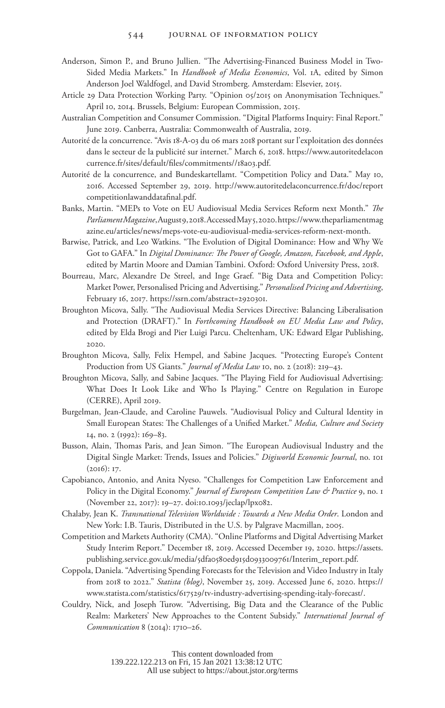- Anderson, Simon P., and Bruno Jullien. "The Advertising-Financed Business Model in Two-Sided Media Markets." In *Handbook of Media Economics*, Vol. 1A, edited by Simon Anderson Joel Waldfogel, and David Stromberg. Amsterdam: Elsevier, 2015.
- Article 29 Data Protection Working Party. "Opinion 05/2015 on Anonymisation Techniques." April 10, 2014. Brussels, Belgium: European Commission, 2015.
- Australian Competition and Consumer Commission. "Digital Platforms Inquiry: Final Report." June 2019. Canberra, Australia: Commonwealth of Australia, 2019.
- Autorité de la concurrence. "Avis 18-A-03 du 06 mars 2018 portant sur l'exploitation des données dans le secteur de la publicité sur internet." March 6, 2018. [https://www.autoritedelacon](https://www.autoritedelaconcurrence.fr/sites/default/files/commitments//18a03.pdf) [currence.fr/sites/default/files/commitments//18a03.pdf](https://www.autoritedelaconcurrence.fr/sites/default/files/commitments//18a03.pdf).
- Autorité de la concurrence, and Bundeskartellamt. "Competition Policy and Data." May 10, 2016. Accessed September 29, 2019. [http://www.autoritedelaconcurrence.fr/doc/report](http://www.autoritedelaconcurrence.fr/doc/reportcompetitionlawanddatafinal.pdf) [competitionlawanddatafinal.pdf.](http://www.autoritedelaconcurrence.fr/doc/reportcompetitionlawanddatafinal.pdf)
- Banks, Martin. "MEPs to Vote on EU Audiovisual Media Services Reform next Month." *The Parliament Magazine*, August 9, 2018. Accessed May 5, 2020. [https://www.theparliamentmag](https://www.theparliamentmagazine.eu/articles/news/meps-vote-eu-audiovisual-media-services-reform-next-month) [azine.eu/articles/news/meps-vote-eu-audiovisual-media-services-reform-next-month.](https://www.theparliamentmagazine.eu/articles/news/meps-vote-eu-audiovisual-media-services-reform-next-month)
- Barwise, Patrick, and Leo Watkins. "The Evolution of Digital Dominance: How and Why We Got to GAFA." In *Digital Dominance: The Power of Google, Amazon, Facebook, and Apple*, edited by Martin Moore and Damian Tambini. Oxford: Oxford University Press, 2018.
- Bourreau, Marc, Alexandre De Streel, and Inge Graef. "Big Data and Competition Policy: Market Power, Personalised Pricing and Advertising." *Personalised Pricing and Advertising*, February 16, 2017. [https://ssrn.com/abstract=2920301.](https://ssrn.com/abstract=2920301)
- Broughton Micova, Sally. "The Audiovisual Media Services Directive: Balancing Liberalisation and Protection (DRAFT)." In *Forthcoming Handbook on EU Media Law and Policy*, edited by Elda Brogi and Pier Luigi Parcu. Cheltenham, UK: Edward Elgar Publishing, 2020.
- Broughton Micova, Sally, Felix Hempel, and Sabine Jacques. "Protecting Europe's Content Production from US Giants." *Journal of Media Law* 10, no. 2 (2018): 219–43.
- Broughton Micova, Sally, and Sabine Jacques. "The Playing Field for Audiovisual Advertising: What Does It Look Like and Who Is Playing." Centre on Regulation in Europe (CERRE), April 2019.
- Burgelman, Jean-Claude, and Caroline Pauwels. "Audiovisual Policy and Cultural Identity in Small European States: The Challenges of a Unified Market." *Media, Culture and Society* 14, no. 2 (1992): 169–83.
- Busson, Alain, Thomas Paris, and Jean Simon. "The European Audiovisual Industry and the Digital Single Market: Trends, Issues and Policies." *Digiworld Economic Journal*, no. 101 (2016): 17.
- Capobianco, Antonio, and Anita Nyeso. "Challenges for Competition Law Enforcement and Policy in the Digital Economy." *Journal of European Competition Law & Practice* 9, no. 1 (November 22, 2017): 19–27. doi:10.1093/jeclap/lpx082.
- Chalaby, Jean K. *Transnational Television Worldwide : Towards a New Media Order*. London and New York: I.B. Tauris, Distributed in the U.S. by Palgrave Macmillan, 2005.
- Competition and Markets Authority (CMA). "Online Platforms and Digital Advertising Market Study Interim Report." December 18, 2019. Accessed December 19, 2020. [https://assets.](https://assets.publishing.service.gov.uk/media/5dfa0580ed915d0933009761/Interim_report.pdf) [publishing.service.gov.uk/media/5dfa0580ed915d0933009761/Interim\\_report.pdf](https://assets.publishing.service.gov.uk/media/5dfa0580ed915d0933009761/Interim_report.pdf).
- Coppola, Daniela. "Advertising Spending Forecasts for the Television and Video Industry in Italy from 2018 to 2022." *Statista (blog)*, November 25, 2019. Accessed June 6, 2020. [https://](https://www.statista.com/statistics/617529/tv-industry-advertising-spending-italy-forecast/) [www.statista.com/statistics/617529/tv-industry-advertising-spending-italy-forecast/.](https://www.statista.com/statistics/617529/tv-industry-advertising-spending-italy-forecast/)
- Couldry, Nick, and Joseph Turow. "Advertising, Big Data and the Clearance of the Public Realm: Marketers' New Approaches to the Content Subsidy." *International Journal of Communication* 8 (2014): 1710–26.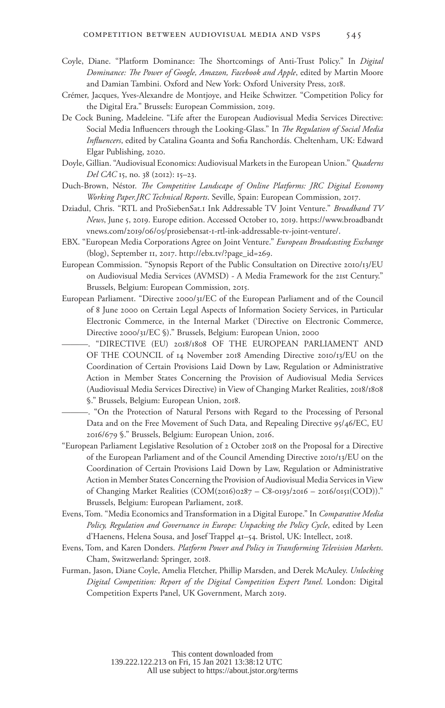- Coyle, Diane. "Platform Dominance: The Shortcomings of Anti-Trust Policy." In *Digital Dominance: The Power of Google, Amazon, Facebook and Apple*, edited by Martin Moore and Damian Tambini. Oxford and New York: Oxford University Press, 2018.
- Crémer, Jacques, Yves-Alexandre de Montjoye, and Heike Schwitzer. "Competition Policy for the Digital Era." Brussels: European Commission, 2019.
- De Cock Buning, Madeleine. "Life after the European Audiovisual Media Services Directive: Social Media Influencers through the Looking-Glass." In *The Regulation of Social Media Influencers*, edited by Catalina Goanta and Sofia Ranchordás. Cheltenham, UK: Edward Elgar Publishing, 2020.
- Doyle, Gillian. "Audiovisual Economics: Audiovisual Markets in the European Union." *Quaderns Del CAC* 15, no. 38 (2012): 15–23.
- Duch-Brown, Néstor. *The Competitive Landscape of Online Platforms: JRC Digital Economy Working Paper.JRC Technical Reports*. Seville, Spain: European Commission, 2017.
- Dziadul, Chris. "RTL and ProSiebenSat.1 Ink Addressable TV Joint Venture." *Broadband TV News*, June 5, 2019. Europe edition. Accessed October 10, 2019. [https://www.broadbandt](https://www.broadbandtvnews.com/2019/06/05/prosiebensat-1-rtl-ink-addressable-tv-joint-venture/) [vnews.com/2019/06/05/prosiebensat-1-rtl-ink-addressable-tv-joint-venture/.](https://www.broadbandtvnews.com/2019/06/05/prosiebensat-1-rtl-ink-addressable-tv-joint-venture/)
- EBX. "European Media Corporations Agree on Joint Venture." *European Broadcasting Exchange* (blog), September 11, 2017. [http://ebx.tv/?page\\_id=269](http://ebx.tv/?page_id=269).
- European Commission. "Synopsis Report of the Public Consultation on Directive 2010/13/EU on Audiovisual Media Services (AVMSD) - A Media Framework for the 21st Century." Brussels, Belgium: European Commission, 2015.
- European Parliament. "Directive 2000/31/EC of the European Parliament and of the Council of 8 June 2000 on Certain Legal Aspects of Information Society Services, in Particular Electronic Commerce, in the Internal Market ('Directive on Electronic Commerce, Directive 2000/31/EC §)." Brussels, Belgium: European Union, 2000
	- ———. "DIRECTIVE (EU) 2018/1808 OF THE EUROPEAN PARLIAMENT AND OF THE COUNCIL of 14 November 2018 Amending Directive 2010/13/EU on the Coordination of Certain Provisions Laid Down by Law, Regulation or Administrative Action in Member States Concerning the Provision of Audiovisual Media Services (Audiovisual Media Services Directive) in View of Changing Market Realities, 2018/1808 §." Brussels, Belgium: European Union, 2018.
		- ———. "On the Protection of Natural Persons with Regard to the Processing of Personal Data and on the Free Movement of Such Data, and Repealing Directive 95/46/EC, EU 2016/679 §." Brussels, Belgium: European Union, 2016.
- "European Parliament Legislative Resolution of 2 October 2018 on the Proposal for a Directive of the European Parliament and of the Council Amending Directive 2010/13/EU on the Coordination of Certain Provisions Laid Down by Law, Regulation or Administrative Action in Member States Concerning the Provision of Audiovisual Media Services in View of Changing Market Realities (COM(2016)0287 – C8-0193/2016 – 2016/0151(COD))." Brussels, Belgium: European Parliament, 2018.
- Evens, Tom. "Media Economics and Transformation in a Digital Europe." In *Comparative Media Policy, Regulation and Governance in Europe: Unpacking the Policy Cycle*, edited by Leen d'Haenens, Helena Sousa, and Josef Trappel 41–54. Bristol, UK: Intellect, 2018.
- Evens, Tom, and Karen Donders. *Platform Power and Policy in Transforming Television Markets*. Cham, Switzwerland: Springer, 2018.
- Furman, Jason, Diane Coyle, Amelia Fletcher, Phillip Marsden, and Derek McAuley. *Unlocking Digital Competition: Report of the Digital Competition Expert Panel*. London: Digital Competition Experts Panel, UK Government, March 2019.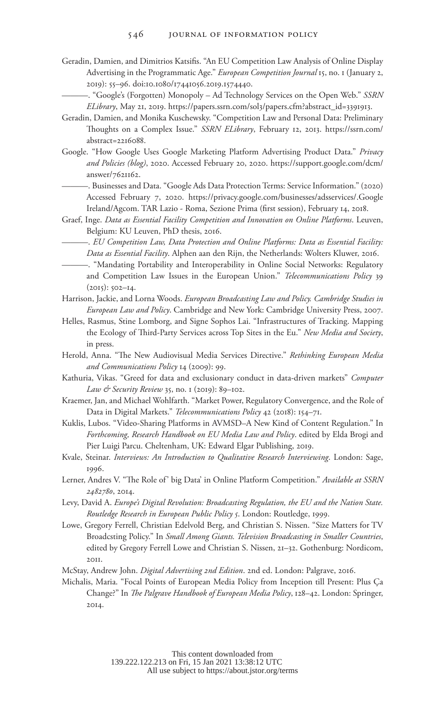- Geradin, Damien, and Dimitrios Katsifis. "An EU Competition Law Analysis of Online Display Advertising in the Programmatic Age." *European Competition Journal* 15, no. 1 (January 2, 2019): 55–96. doi:10.1080/17441056.2019.1574440.
	- ———. "Google's (Forgotten) Monopoly Ad Technology Services on the Open Web." *SSRN ELibrary*, May 21, 2019. [https://papers.ssrn.com/sol3/papers.cfm?abstract\\_id=3391913.](https://papers.ssrn.com/sol3/papers.cfm?abstract_id=3391913)
- Geradin, Damien, and Monika Kuschewsky. "Competition Law and Personal Data: Preliminary Thoughts on a Complex Issue." *SSRN ELibrary*, February 12, 2013. [https://ssrn.com/](https://ssrn.com/abstract=2216088) [abstract=2216088.](https://ssrn.com/abstract=2216088)
- Google. "How Google Uses Google Marketing Platform Advertising Product Data." *Privacy and Policies (blog)*, 2020. Accessed February 20, 2020. [https://support.google.com/dcm/](https://support.google.com/dcm/answer/7621162) [answer/7621162.](https://support.google.com/dcm/answer/7621162)
	- ———. Businesses and Data. "Google Ads Data Protection Terms: Service Information." (2020) Accessed February 7, 2020. <https://privacy.google.com/businesses/adsservices/.Google> Ireland/Agcom. TAR Lazio - Roma, Sezione Prima (first session), February 14, 2018.
- Graef, Inge. *Data as Essential Facility Competition and Innovation on Online Platforms*. Leuven, Belgium: KU Leuven, PhD thesis, 2016.
	- ———. *EU Competition Law, Data Protection and Online Platforms: Data as Essential Facility: Data as Essential Facility*. Alphen aan den Rijn, the Netherlands: Wolters Kluwer, 2016.
	- ———. "Mandating Portability and Interoperability in Online Social Networks: Regulatory and Competition Law Issues in the European Union." *Telecommunications Policy* 39  $(2015)$ : 502–14.
- Harrison, Jackie, and Lorna Woods. *European Broadcasting Law and Policy. Cambridge Studies in European Law and Policy*. Cambridge and New York: Cambridge University Press, 2007.
- Helles, Rasmus, Stine Lomborg, and Signe Sophos Lai. "Infrastructures of Tracking. Mapping the Ecology of Third-Party Services across Top Sites in the Eu." *New Media and Society*, in press.
- Herold, Anna. "The New Audiovisual Media Services Directive." *Rethinking European Media and Communications Policy* 14 (2009): 99.
- Kathuria, Vikas. "Greed for data and exclusionary conduct in data-driven markets" *Computer Law & Security Review* 35, no. 1 (2019): 89–102.
- Kraemer, Jan, and Michael Wohlfarth. "Market Power, Regulatory Convergence, and the Role of Data in Digital Markets." *Telecommunications Policy* 42 (2018): 154–71.
- Kuklis, Lubos. "Video-Sharing Platforms in AVMSD–A New Kind of Content Regulation." In *Forthcoming, Research Handbook on EU Media Law and Policy*. edited by Elda Brogi and Pier Luigi Parcu. Cheltenham, UK: Edward Elgar Publishing, 2019.
- Kvale, Steinar. *Interviews: An Introduction to Qualitative Research Interviewing*. London: Sage, 1996.
- Lerner, Andres V. "The Role of' big Data' in Online Platform Competition." *Available at SSRN 2482780*, 2014.
- Levy, David A. *Europe's Digital Revolution: Broadcasting Regulation, the EU and the Nation State. Routledge Research in European Public Policy 5*. London: Routledge, 1999.
- Lowe, Gregory Ferrell, Christian Edelvold Berg, and Christian S. Nissen. "Size Matters for TV Broadcsting Policy." In *Small Among Giants. Television Broadcasting in Smaller Countries*, edited by Gregory Ferrell Lowe and Christian S. Nissen, 21–32. Gothenburg: Nordicom, 2011.
- McStay, Andrew John. *Digital Advertising 2nd Edition*. 2nd ed. London: Palgrave, 2016.
- Michalis, Maria. "Focal Points of European Media Policy from Inception till Present: Plus Ça Change?" In *The Palgrave Handbook of European Media Policy*, 128–42. London: Springer, 2014.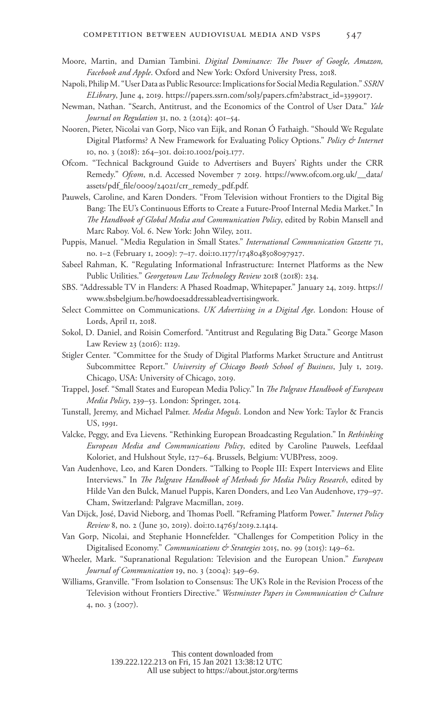- Moore, Martin, and Damian Tambini. *Digital Dominance: The Power of Google, Amazon, Facebook and Apple*. Oxford and New York: Oxford University Press, 2018.
- Napoli, Philip M. "User Data as Public Resource: Implications for Social Media Regulation." *SSRN ELibrary*, June 4, 2019. [https://papers.ssrn.com/sol3/papers.cfm?abstract\\_id=3399017](https://papers.ssrn.com/sol3/papers.cfm?abstract_id=3399017).
- Newman, Nathan. "Search, Antitrust, and the Economics of the Control of User Data." *Yale Journal on Regulation* 31, no. 2 (2014): 401–54.
- Nooren, Pieter, Nicolai van Gorp, Nico van Eijk, and Ronan Ó Fathaigh. "Should We Regulate Digital Platforms? A New Framework for Evaluating Policy Options." *Policy & Internet* 10, no. 3 (2018): 264–301. doi:10.1002/poi3.177.
- Ofcom. "Technical Background Guide to Advertisers and Buyers' Rights under the CRR Remedy." *Ofcom*, n.d. Accessed November 7 2019. [https://www.ofcom.org.uk/\\_\\_data/](https://www.ofcom.org.uk/__data/assets/pdf_file/0009/24021/crr_remedy_pdf.pdf) [assets/pdf\\_file/0009/24021/crr\\_remedy\\_pdf.pdf](https://www.ofcom.org.uk/__data/assets/pdf_file/0009/24021/crr_remedy_pdf.pdf).
- Pauwels, Caroline, and Karen Donders. "From Television without Frontiers to the Digital Big Bang: The EU's Continuous Efforts to Create a Future-Proof Internal Media Market." In *The Handbook of Global Media and Communication Policy*, edited by Robin Mansell and Marc Raboy. Vol. 6. New York: John Wiley, 2011.
- Puppis, Manuel. "Media Regulation in Small States." *International Communication Gazette* 71, no. 1–2 (February 1, 2009): 7–17. doi:10.1177/1748048508097927.
- Sabeel Rahman, K. "Regulating Informational Infrastructure: Internet Platforms as the New Public Utilities." *Georgetown Law Technology Review* 2018 (2018): 234.
- SBS. "Addressable TV in Flanders: A Phased Roadmap, Whitepaper." January 24, 2019. [https://](https://www.sbsbelgium.be/howdoesaddressableadvertisingwork) [www.sbsbelgium.be/howdoesaddressableadvertisingwork.](https://www.sbsbelgium.be/howdoesaddressableadvertisingwork)
- Select Committee on Communications. *UK Advertising in a Digital Age*. London: House of Lords, April 11, 2018.
- Sokol, D. Daniel, and Roisin Comerford. "Antitrust and Regulating Big Data." George Mason Law Review 23 (2016): 1129.
- Stigler Center. "Committee for the Study of Digital Platforms Market Structure and Antitrust Subcommittee Report." *University of Chicago Booth School of Business*, July 1, 2019. Chicago, USA: University of Chicago, 2019.
- Trappel, Josef. "Small States and European Media Policy." In *The Palgrave Handbook of European Media Policy*, 239–53. London: Springer, 2014.
- Tunstall, Jeremy, and Michael Palmer. *Media Moguls*. London and New York: Taylor & Francis US, 1991.
- Valcke, Peggy, and Eva Lievens. "Rethinking European Broadcasting Regulation." In *Rethinking European Media and Communications Policy*, edited by Caroline Pauwels, Leefdaal Koloriet, and Hulshout Style, 127–64. Brussels, Belgium: VUBPress, 2009.
- Van Audenhove, Leo, and Karen Donders. "Talking to People III: Expert Interviews and Elite Interviews." In *The Palgrave Handbook of Methods for Media Policy Research*, edited by Hilde Van den Bulck, Manuel Puppis, Karen Donders, and Leo Van Audenhove, 179–97. Cham, Switzerland: Palgrave Macmillan, 2019.
- Van Dijck, José, David Nieborg, and Thomas Poell. "Reframing Platform Power." *Internet Policy Review* 8, no. 2 (June 30, 2019). doi:10.14763/2019.2.1414.
- Van Gorp, Nicolai, and Stephanie Honnefelder. "Challenges for Competition Policy in the Digitalised Economy." *Communications & Strategies* 2015, no. 99 (2015): 149–62.
- Wheeler, Mark. "Supranational Regulation: Television and the European Union." *European Journal of Communication* 19, no. 3 (2004): 349–69.
- Williams, Granville. "From Isolation to Consensus: The UK's Role in the Revision Process of the Television without Frontiers Directive." *Westminster Papers in Communication & Culture* 4, no. 3 (2007).